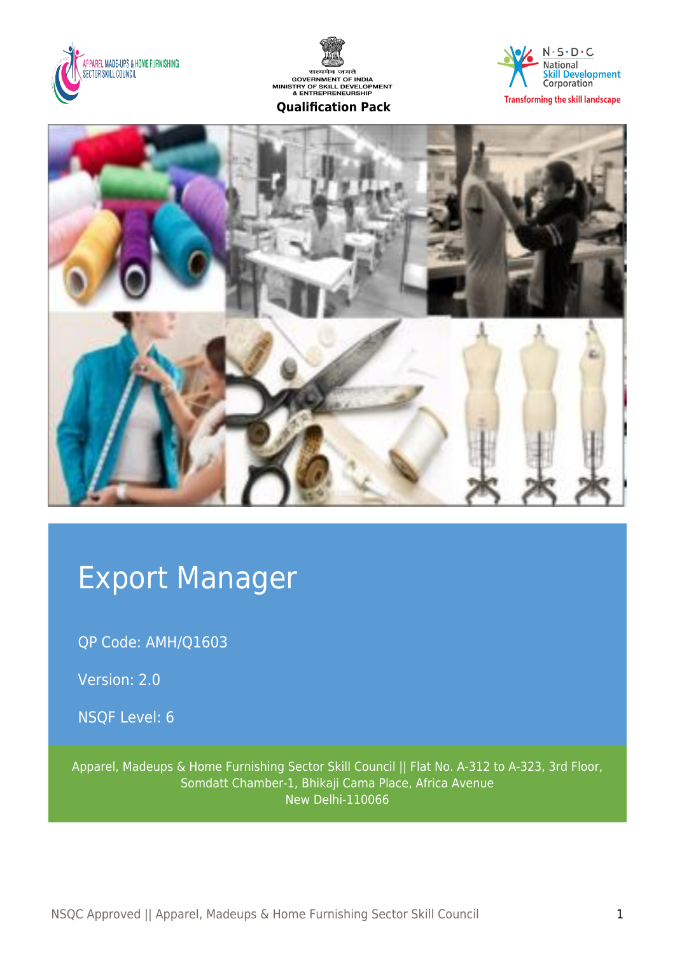





**Transforming the skill landscape** 



# Export Manager

QP Code: AMH/Q1603

Version: 2.0

NSQF Level: 6

Apparel, Madeups & Home Furnishing Sector Skill Council || Flat No. A-312 to A-323, 3rd Floor, Somdatt Chamber-1, Bhikaji Cama Place, Africa Avenue New Delhi-110066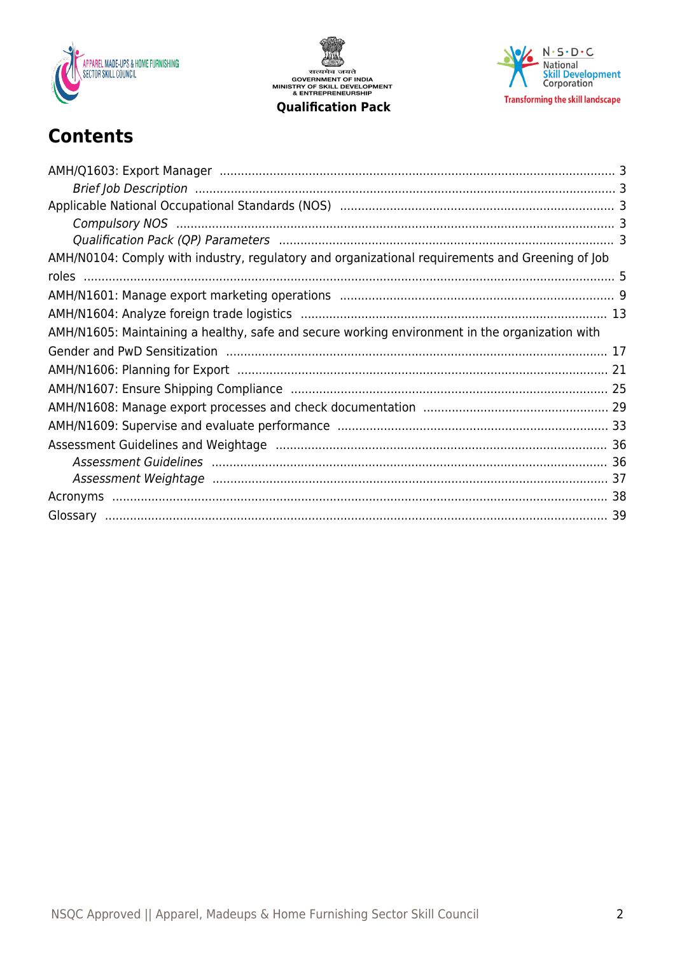

सत्यमेव जयते<br>GOVERNMENT OF INDIA<br>MINISTRY OF SKILL DEVELOPMENT<br>& ENTREPRENEURSHIP **Qualification Pack** 



## **Contents**

| AMH/N0104: Comply with industry, regulatory and organizational requirements and Greening of Job |  |
|-------------------------------------------------------------------------------------------------|--|
|                                                                                                 |  |
|                                                                                                 |  |
|                                                                                                 |  |
| AMH/N1605: Maintaining a healthy, safe and secure working environment in the organization with  |  |
|                                                                                                 |  |
|                                                                                                 |  |
|                                                                                                 |  |
|                                                                                                 |  |
|                                                                                                 |  |
|                                                                                                 |  |
|                                                                                                 |  |
|                                                                                                 |  |
|                                                                                                 |  |
|                                                                                                 |  |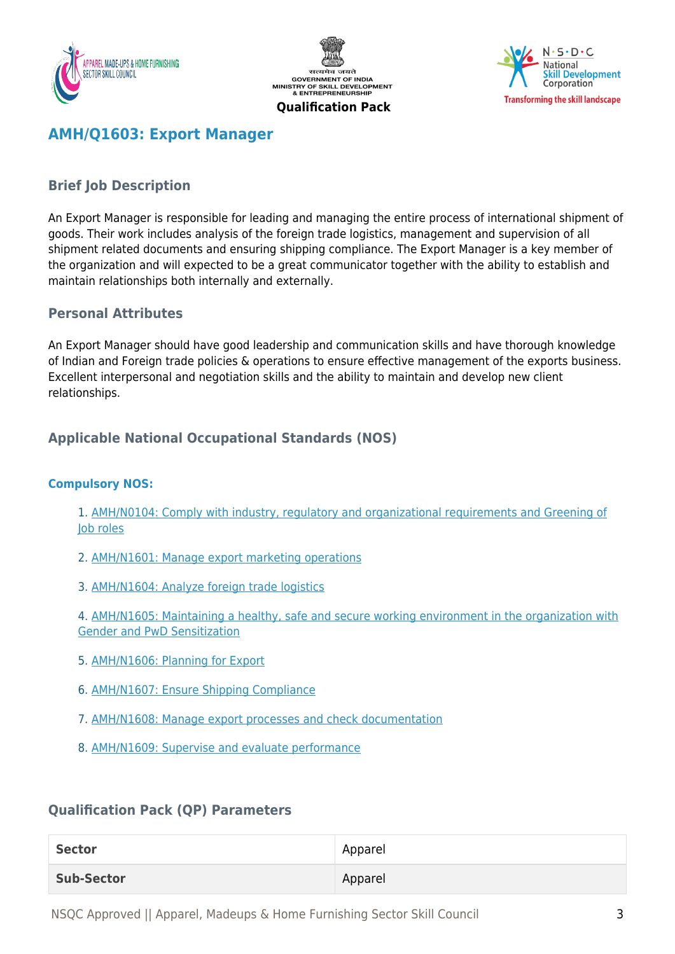





## <span id="page-2-0"></span>**AMH/Q1603: Export Manager**

## <span id="page-2-1"></span>**Brief Job Description**

An Export Manager is responsible for leading and managing the entire process of international shipment of goods. Their work includes analysis of the foreign trade logistics, management and supervision of all shipment related documents and ensuring shipping compliance. The Export Manager is a key member of the organization and will expected to be a great communicator together with the ability to establish and maintain relationships both internally and externally.

## **Personal Attributes**

An Export Manager should have good leadership and communication skills and have thorough knowledge of Indian and Foreign trade policies & operations to ensure effective management of the exports business. Excellent interpersonal and negotiation skills and the ability to maintain and develop new client relationships.

## <span id="page-2-2"></span>**Applicable National Occupational Standards (NOS)**

#### <span id="page-2-3"></span>**Compulsory NOS:**

1. [AMH/N0104: Comply with industry, regulatory and organizational requirements and Greening of](#page--1-0) [Job roles](#page--1-0)

- 2. [AMH/N1601: Manage export marketing operations](#page--1-0)
- 3. [AMH/N1604: Analyze foreign trade logistics](#page--1-0)

4. [AMH/N1605: Maintaining a healthy, safe and secure working environment in the organization with](#page--1-0) [Gender and PwD Sensitization](#page--1-0)

- 5. [AMH/N1606: Planning for Export](#page--1-0)
- 6. [AMH/N1607: Ensure Shipping Compliance](#page--1-0)
- 7. [AMH/N1608: Manage export processes and check documentation](#page--1-0)
- 8. [AMH/N1609: Supervise and evaluate performance](#page--1-0)

## <span id="page-2-4"></span>**Qualification Pack (QP) Parameters**

| <b>Sector</b>     | Apparel |
|-------------------|---------|
| <b>Sub-Sector</b> | Apparel |

NSQC Approved || Apparel, Madeups & Home Furnishing Sector Skill Council 3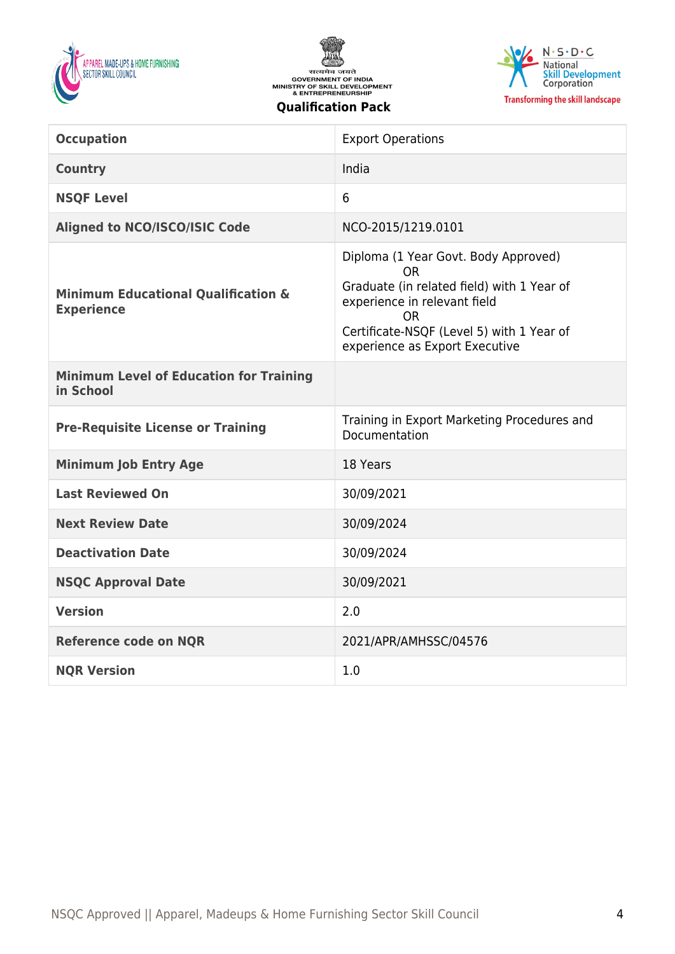





| <b>Occupation</b>                                                   | <b>Export Operations</b>                                                                                                                                                                                      |
|---------------------------------------------------------------------|---------------------------------------------------------------------------------------------------------------------------------------------------------------------------------------------------------------|
| <b>Country</b>                                                      | India                                                                                                                                                                                                         |
| <b>NSQF Level</b>                                                   | 6                                                                                                                                                                                                             |
| <b>Aligned to NCO/ISCO/ISIC Code</b>                                | NCO-2015/1219.0101                                                                                                                                                                                            |
| <b>Minimum Educational Qualification &amp;</b><br><b>Experience</b> | Diploma (1 Year Govt. Body Approved)<br>ΩR<br>Graduate (in related field) with 1 Year of<br>experience in relevant field<br>ΩR<br>Certificate-NSQF (Level 5) with 1 Year of<br>experience as Export Executive |
| <b>Minimum Level of Education for Training</b><br>in School         |                                                                                                                                                                                                               |
|                                                                     |                                                                                                                                                                                                               |
| <b>Pre-Requisite License or Training</b>                            | Training in Export Marketing Procedures and<br>Documentation                                                                                                                                                  |
| <b>Minimum Job Entry Age</b>                                        | 18 Years                                                                                                                                                                                                      |
| <b>Last Reviewed On</b>                                             | 30/09/2021                                                                                                                                                                                                    |
| <b>Next Review Date</b>                                             | 30/09/2024                                                                                                                                                                                                    |
| <b>Deactivation Date</b>                                            | 30/09/2024                                                                                                                                                                                                    |
| <b>NSQC Approval Date</b>                                           | 30/09/2021                                                                                                                                                                                                    |
| <b>Version</b>                                                      | 2.0                                                                                                                                                                                                           |
| <b>Reference code on NQR</b>                                        | 2021/APR/AMHSSC/04576                                                                                                                                                                                         |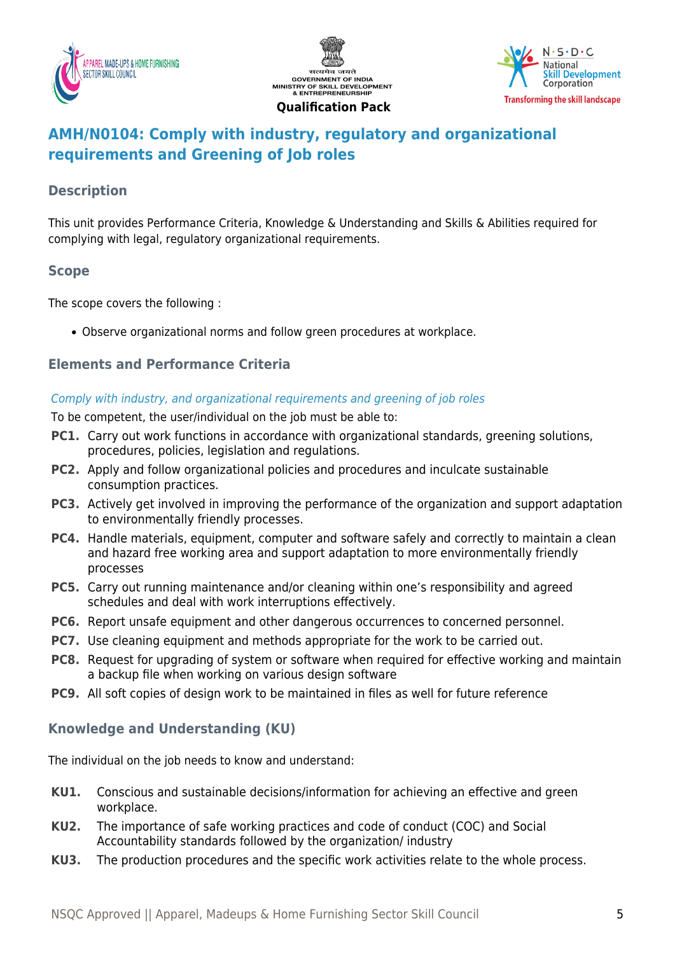





## <span id="page-4-0"></span>**AMH/N0104: Comply with industry, regulatory and organizational requirements and Greening of Job roles**

## **Description**

This unit provides Performance Criteria, Knowledge & Understanding and Skills & Abilities required for complying with legal, regulatory organizational requirements.

## **Scope**

The scope covers the following :

Observe organizational norms and follow green procedures at workplace.

## **Elements and Performance Criteria**

#### Comply with industry, and organizational requirements and greening of job roles

To be competent, the user/individual on the job must be able to:

- **PC1.** Carry out work functions in accordance with organizational standards, greening solutions, procedures, policies, legislation and regulations.
- **PC2.** Apply and follow organizational policies and procedures and inculcate sustainable consumption practices.
- **PC3.** Actively get involved in improving the performance of the organization and support adaptation to environmentally friendly processes.
- **PC4.** Handle materials, equipment, computer and software safely and correctly to maintain a clean and hazard free working area and support adaptation to more environmentally friendly processes
- **PC5.** Carry out running maintenance and/or cleaning within one's responsibility and agreed schedules and deal with work interruptions effectively.
- **PC6.** Report unsafe equipment and other dangerous occurrences to concerned personnel.
- **PC7.** Use cleaning equipment and methods appropriate for the work to be carried out.
- **PC8.** Request for upgrading of system or software when required for effective working and maintain a backup file when working on various design software
- **PC9.** All soft copies of design work to be maintained in files as well for future reference

## **Knowledge and Understanding (KU)**

The individual on the job needs to know and understand:

- **KU1.** Conscious and sustainable decisions/information for achieving an effective and green workplace.
- **KU2.** The importance of safe working practices and code of conduct (COC) and Social Accountability standards followed by the organization/ industry
- **KU3.** The production procedures and the specific work activities relate to the whole process.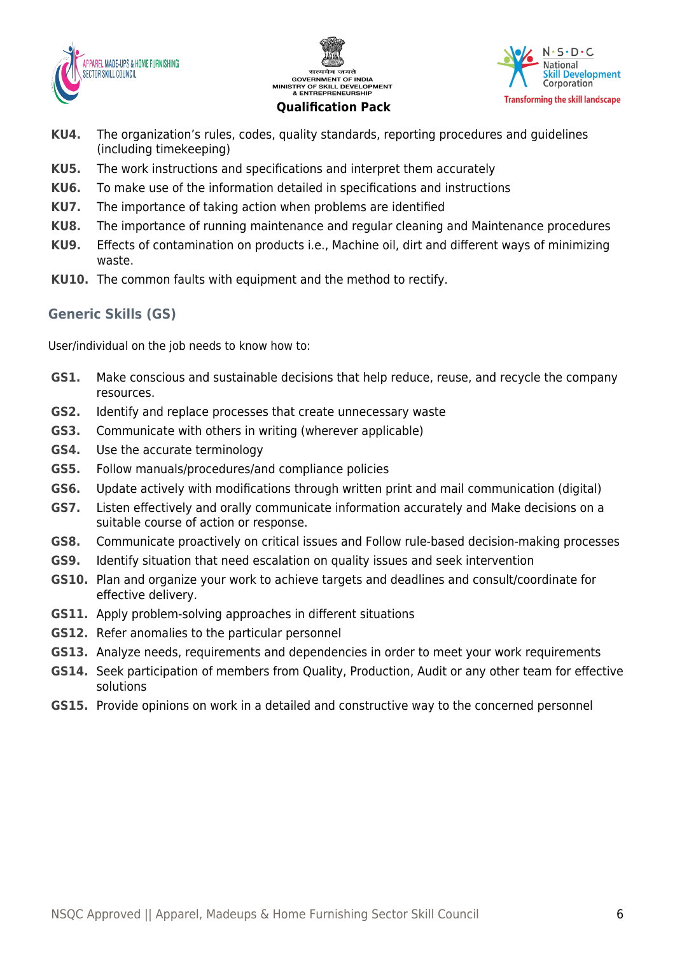





## **KU4.** The organization's rules, codes, quality standards, reporting procedures and guidelines (including timekeeping)

- **KU5.** The work instructions and specifications and interpret them accurately
- **KU6.** To make use of the information detailed in specifications and instructions
- **KU7.** The importance of taking action when problems are identified
- **KU8.** The importance of running maintenance and regular cleaning and Maintenance procedures
- **KU9.** Effects of contamination on products i.e., Machine oil, dirt and different ways of minimizing waste.
- **KU10.** The common faults with equipment and the method to rectify.

## **Generic Skills (GS)**

User/individual on the job needs to know how to:

- **GS1.** Make conscious and sustainable decisions that help reduce, reuse, and recycle the company resources.
- **GS2.** Identify and replace processes that create unnecessary waste
- **GS3.** Communicate with others in writing (wherever applicable)
- **GS4.** Use the accurate terminology
- **GS5.** Follow manuals/procedures/and compliance policies
- **GS6.** Update actively with modifications through written print and mail communication (digital)
- **GS7.** Listen effectively and orally communicate information accurately and Make decisions on a suitable course of action or response.
- **GS8.** Communicate proactively on critical issues and Follow rule-based decision-making processes
- **GS9.** Identify situation that need escalation on quality issues and seek intervention
- **GS10.** Plan and organize your work to achieve targets and deadlines and consult/coordinate for effective delivery.
- **GS11.** Apply problem-solving approaches in different situations
- **GS12.** Refer anomalies to the particular personnel
- **GS13.** Analyze needs, requirements and dependencies in order to meet your work requirements
- **GS14.** Seek participation of members from Quality, Production, Audit or any other team for effective solutions
- **GS15.** Provide opinions on work in a detailed and constructive way to the concerned personnel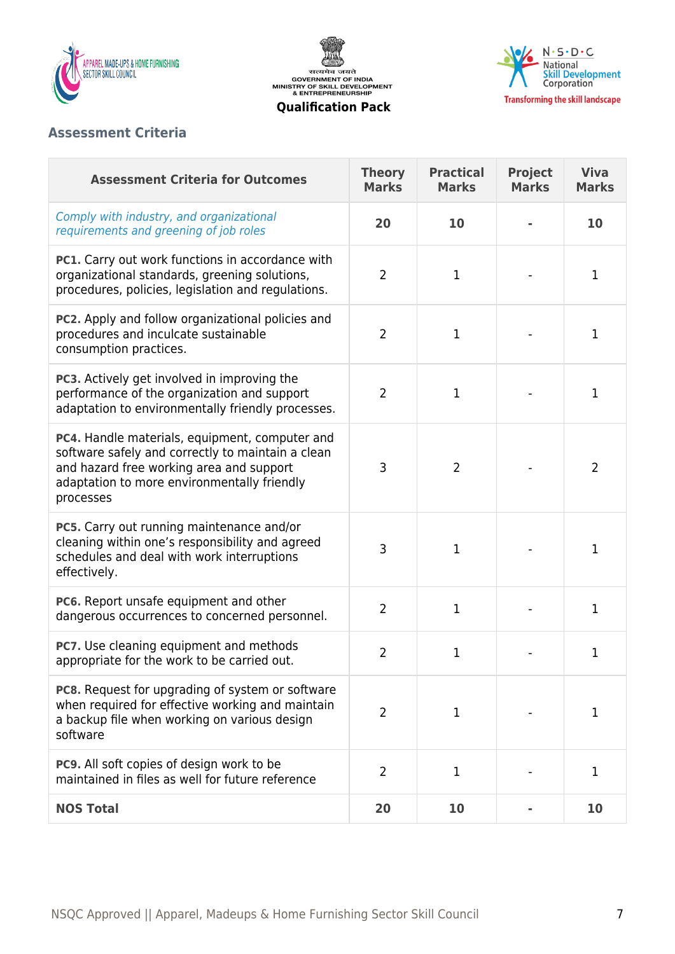

सत्यमेव जयते<br>GOVERNMENT OF INDIA<br>MINISTRY OF SKILL DEVELOPMENT<br>& ENTREPRENEURSHIP **Qualification Pack**



## **Assessment Criteria**

| <b>Assessment Criteria for Outcomes</b>                                                                                                                                                                     | <b>Theory</b><br><b>Marks</b> | <b>Practical</b><br><b>Marks</b> | Project<br><b>Marks</b> | <b>Viva</b><br><b>Marks</b> |
|-------------------------------------------------------------------------------------------------------------------------------------------------------------------------------------------------------------|-------------------------------|----------------------------------|-------------------------|-----------------------------|
| Comply with industry, and organizational<br>requirements and greening of job roles                                                                                                                          | 20                            | 10                               |                         | 10                          |
| PC1. Carry out work functions in accordance with<br>organizational standards, greening solutions,<br>procedures, policies, legislation and regulations.                                                     | $\overline{2}$                | $\mathbf 1$                      |                         | 1                           |
| PC2. Apply and follow organizational policies and<br>procedures and inculcate sustainable<br>consumption practices.                                                                                         | $\overline{2}$                | $\mathbf 1$                      |                         | 1                           |
| PC3. Actively get involved in improving the<br>performance of the organization and support<br>adaptation to environmentally friendly processes.                                                             | $\overline{2}$                | $\mathbf 1$                      |                         | 1                           |
| PC4. Handle materials, equipment, computer and<br>software safely and correctly to maintain a clean<br>and hazard free working area and support<br>adaptation to more environmentally friendly<br>processes | 3                             | $\overline{2}$                   |                         | 2                           |
| PC5. Carry out running maintenance and/or<br>cleaning within one's responsibility and agreed<br>schedules and deal with work interruptions<br>effectively.                                                  | 3                             | 1                                |                         | 1                           |
| PC6. Report unsafe equipment and other<br>dangerous occurrences to concerned personnel.                                                                                                                     | $\overline{2}$                | $\mathbf 1$                      |                         | 1                           |
| <b>PC7.</b> Use cleaning equipment and methods<br>appropriate for the work to be carried out.                                                                                                               | $\overline{2}$                | $\mathbf{1}$                     |                         | 1                           |
| <b>PC8.</b> Request for upgrading of system or software<br>when required for effective working and maintain<br>a backup file when working on various design<br>software                                     | $\overline{2}$                | 1                                |                         | 1                           |
| PC9. All soft copies of design work to be<br>maintained in files as well for future reference                                                                                                               | $\overline{2}$                | $\mathbf 1$                      |                         | 1                           |
| <b>NOS Total</b>                                                                                                                                                                                            | 20                            | 10                               |                         | 10                          |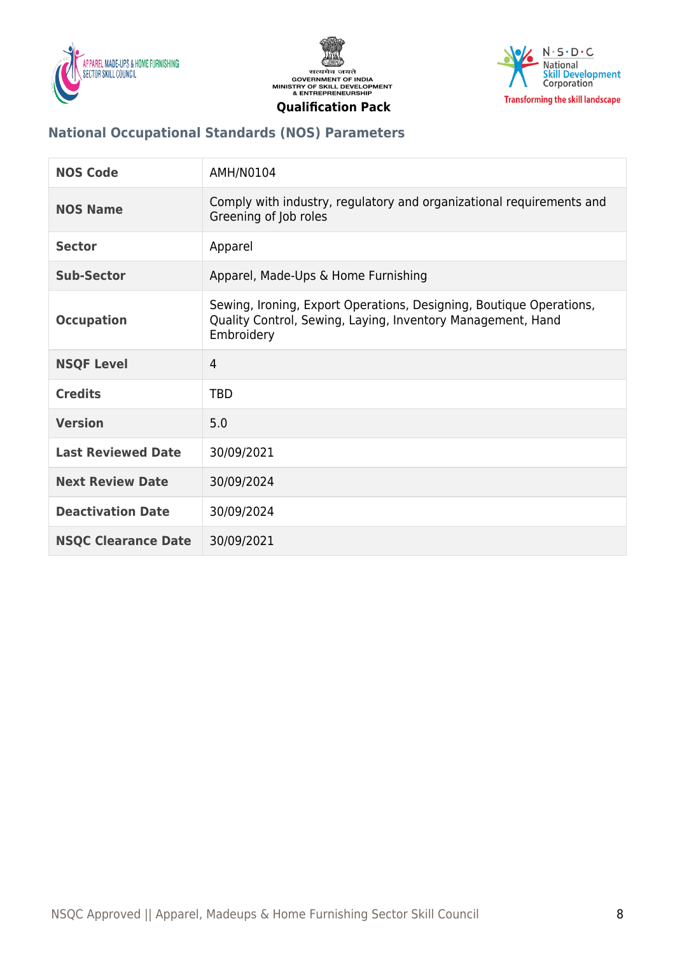





## **National Occupational Standards (NOS) Parameters**

| <b>NOS Code</b>            | AMH/N0104                                                                                                                                        |
|----------------------------|--------------------------------------------------------------------------------------------------------------------------------------------------|
| <b>NOS Name</b>            | Comply with industry, regulatory and organizational requirements and<br>Greening of Job roles                                                    |
| <b>Sector</b>              | Apparel                                                                                                                                          |
| <b>Sub-Sector</b>          | Apparel, Made-Ups & Home Furnishing                                                                                                              |
| <b>Occupation</b>          | Sewing, Ironing, Export Operations, Designing, Boutique Operations,<br>Quality Control, Sewing, Laying, Inventory Management, Hand<br>Embroidery |
| <b>NSQF Level</b>          | $\overline{4}$                                                                                                                                   |
| <b>Credits</b>             | <b>TBD</b>                                                                                                                                       |
| <b>Version</b>             | 5.0                                                                                                                                              |
| <b>Last Reviewed Date</b>  | 30/09/2021                                                                                                                                       |
| <b>Next Review Date</b>    | 30/09/2024                                                                                                                                       |
| <b>Deactivation Date</b>   | 30/09/2024                                                                                                                                       |
| <b>NSQC Clearance Date</b> | 30/09/2021                                                                                                                                       |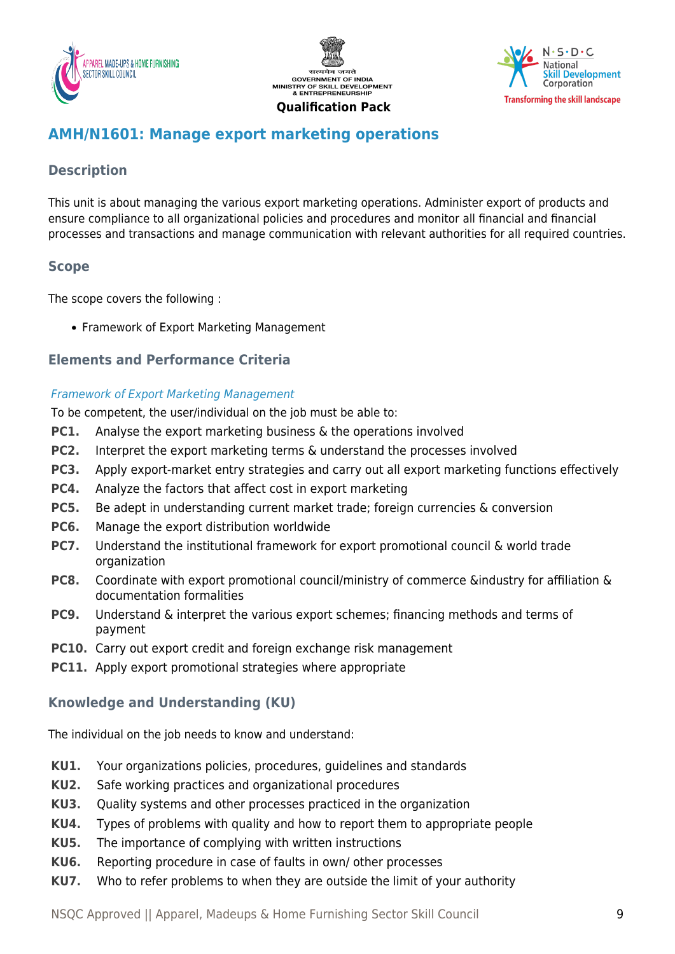





## <span id="page-8-0"></span>**AMH/N1601: Manage export marketing operations**

## **Description**

This unit is about managing the various export marketing operations. Administer export of products and ensure compliance to all organizational policies and procedures and monitor all financial and financial processes and transactions and manage communication with relevant authorities for all required countries.

## **Scope**

The scope covers the following :

• Framework of Export Marketing Management

## **Elements and Performance Criteria**

#### Framework of Export Marketing Management

To be competent, the user/individual on the job must be able to:

- **PC1.** Analyse the export marketing business & the operations involved
- **PC2.** Interpret the export marketing terms & understand the processes involved
- **PC3.** Apply export-market entry strategies and carry out all export marketing functions effectively
- **PC4.** Analyze the factors that affect cost in export marketing
- **PC5.** Be adept in understanding current market trade; foreign currencies & conversion
- **PC6.** Manage the export distribution worldwide
- **PC7.** Understand the institutional framework for export promotional council & world trade organization
- **PC8.** Coordinate with export promotional council/ministry of commerce &industry for affiliation & documentation formalities
- **PC9.** Understand & interpret the various export schemes; financing methods and terms of payment
- **PC10.** Carry out export credit and foreign exchange risk management
- **PC11.** Apply export promotional strategies where appropriate

## **Knowledge and Understanding (KU)**

The individual on the job needs to know and understand:

- **KU1.** Your organizations policies, procedures, guidelines and standards
- **KU2.** Safe working practices and organizational procedures
- **KU3.** Quality systems and other processes practiced in the organization
- **KU4.** Types of problems with quality and how to report them to appropriate people
- **KU5.** The importance of complying with written instructions
- **KU6.** Reporting procedure in case of faults in own/ other processes
- **KU7.** Who to refer problems to when they are outside the limit of your authority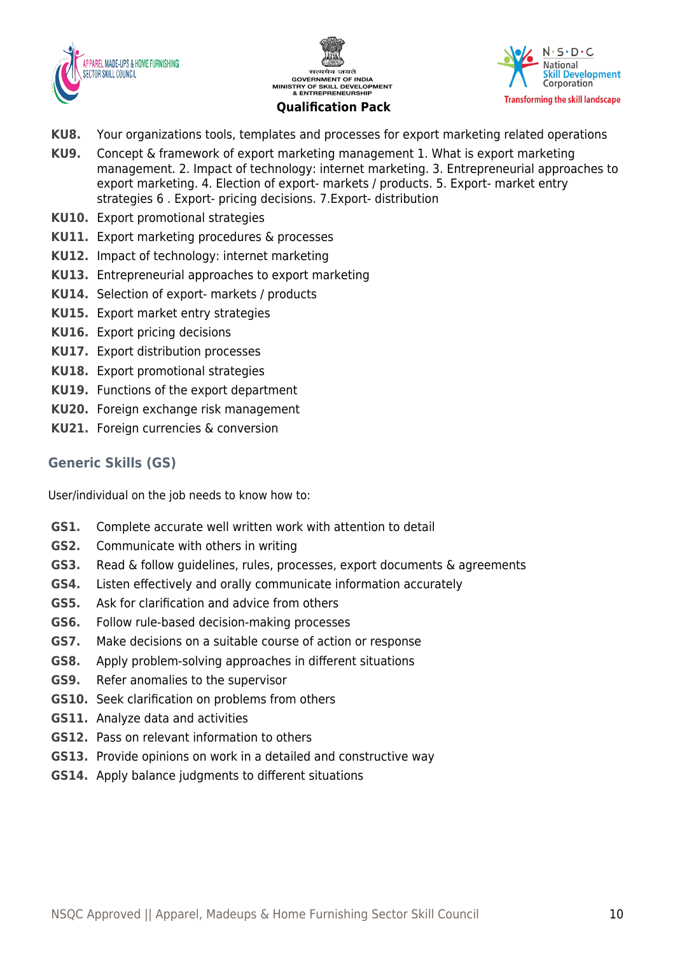





- **KU8.** Your organizations tools, templates and processes for export marketing related operations
- **KU9.** Concept & framework of export marketing management 1. What is export marketing management. 2. Impact of technology: internet marketing. 3. Entrepreneurial approaches to export marketing. 4. Election of export- markets / products. 5. Export- market entry strategies 6 . Export- pricing decisions. 7.Export- distribution
- **KU10.** Export promotional strategies
- **KU11.** Export marketing procedures & processes
- **KU12.** Impact of technology: internet marketing
- **KU13.** Entrepreneurial approaches to export marketing
- **KU14.** Selection of export- markets / products
- **KU15.** Export market entry strategies
- **KU16.** Export pricing decisions
- **KU17.** Export distribution processes
- **KU18.** Export promotional strategies
- **KU19.** Functions of the export department
- **KU20.** Foreign exchange risk management
- **KU21.** Foreign currencies & conversion

#### **Generic Skills (GS)**

User/individual on the job needs to know how to:

- **GS1.** Complete accurate well written work with attention to detail
- **GS2.** Communicate with others in writing
- **GS3.** Read & follow guidelines, rules, processes, export documents & agreements
- **GS4.** Listen effectively and orally communicate information accurately
- **GS5.** Ask for clarification and advice from others
- **GS6.** Follow rule-based decision-making processes
- **GS7.** Make decisions on a suitable course of action or response
- **GS8.** Apply problem-solving approaches in different situations
- **GS9.** Refer anomalies to the supervisor
- **GS10.** Seek clarification on problems from others
- **GS11.** Analyze data and activities
- **GS12.** Pass on relevant information to others
- **GS13.** Provide opinions on work in a detailed and constructive way
- **GS14.** Apply balance judgments to different situations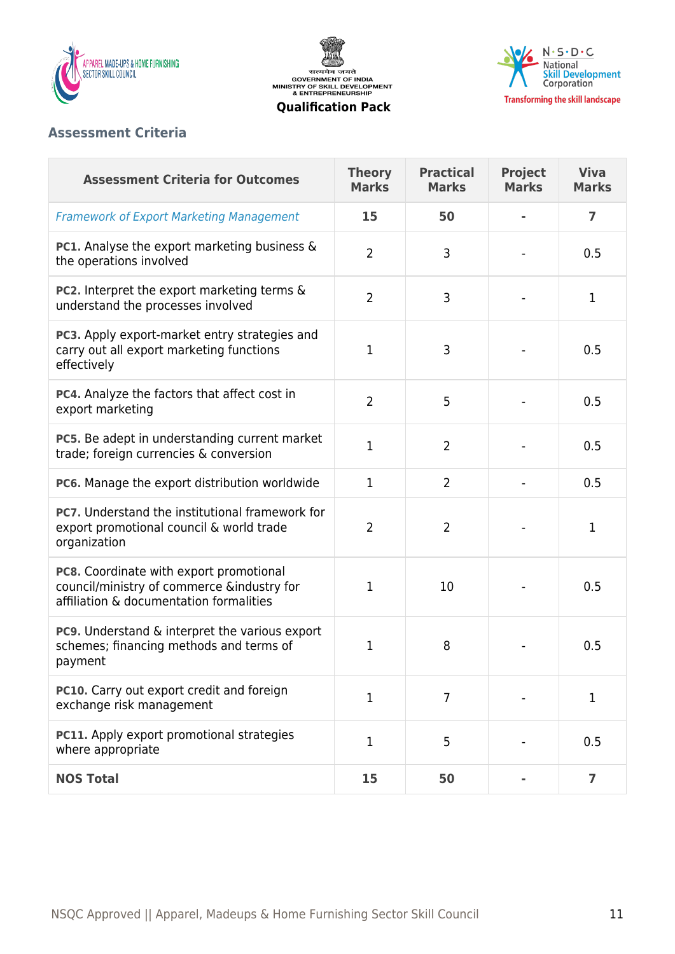





## **Assessment Criteria**

| <b>Assessment Criteria for Outcomes</b>                                                                                          | <b>Theory</b><br><b>Marks</b> | <b>Practical</b><br><b>Marks</b> | <b>Project</b><br><b>Marks</b> | <b>Viva</b><br><b>Marks</b> |
|----------------------------------------------------------------------------------------------------------------------------------|-------------------------------|----------------------------------|--------------------------------|-----------------------------|
| <b>Framework of Export Marketing Management</b>                                                                                  | 15                            | 50                               |                                | $\overline{7}$              |
| <b>PC1.</b> Analyse the export marketing business &<br>the operations involved                                                   | $\overline{2}$                | 3                                |                                | 0.5                         |
| PC2. Interpret the export marketing terms &<br>understand the processes involved                                                 | $\overline{2}$                | 3                                |                                | 1                           |
| PC3. Apply export-market entry strategies and<br>carry out all export marketing functions<br>effectively                         | 1                             | 3                                |                                | 0.5                         |
| PC4. Analyze the factors that affect cost in<br>export marketing                                                                 | $\overline{2}$                | 5                                |                                | 0.5                         |
| PC5. Be adept in understanding current market<br>trade; foreign currencies & conversion                                          | 1                             | $\overline{2}$                   |                                | 0.5                         |
| PC6. Manage the export distribution worldwide                                                                                    | $\mathbf{1}$                  | $\overline{2}$                   |                                | 0.5                         |
| PC7. Understand the institutional framework for<br>export promotional council & world trade<br>organization                      | $\overline{2}$                | $\overline{2}$                   |                                | 1                           |
| PC8. Coordinate with export promotional<br>council/ministry of commerce &industry for<br>affiliation & documentation formalities | 1                             | 10                               |                                | 0.5                         |
| PC9. Understand & interpret the various export<br>schemes; financing methods and terms of<br>payment                             | 1                             | 8                                |                                | 0.5                         |
| PC10. Carry out export credit and foreign<br>exchange risk management                                                            | $\mathbf{1}$                  | $\overline{7}$                   |                                | $\mathbf 1$                 |
| PC11. Apply export promotional strategies<br>where appropriate                                                                   | $\mathbf 1$                   | 5                                |                                | 0.5                         |
| <b>NOS Total</b>                                                                                                                 | 15                            | 50                               |                                | $\overline{\mathbf{z}}$     |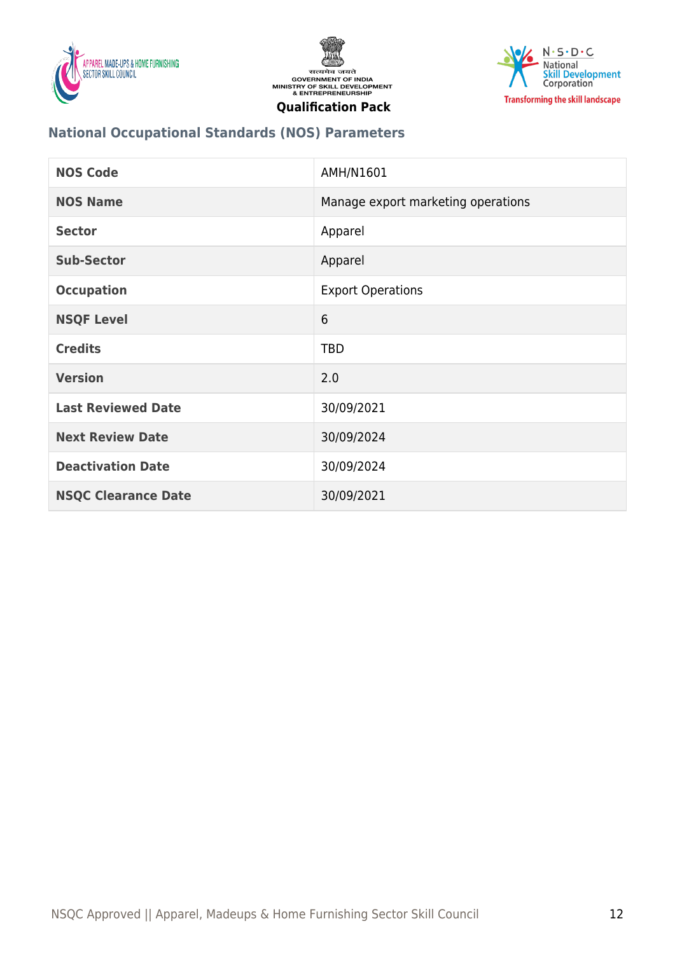





## **National Occupational Standards (NOS) Parameters**

| <b>NOS Code</b>            | AMH/N1601                          |
|----------------------------|------------------------------------|
| <b>NOS Name</b>            | Manage export marketing operations |
| <b>Sector</b>              | Apparel                            |
| <b>Sub-Sector</b>          | Apparel                            |
| <b>Occupation</b>          | <b>Export Operations</b>           |
| <b>NSQF Level</b>          | 6                                  |
| <b>Credits</b>             | <b>TBD</b>                         |
| <b>Version</b>             | 2.0                                |
| <b>Last Reviewed Date</b>  | 30/09/2021                         |
| <b>Next Review Date</b>    | 30/09/2024                         |
| <b>Deactivation Date</b>   | 30/09/2024                         |
| <b>NSQC Clearance Date</b> | 30/09/2021                         |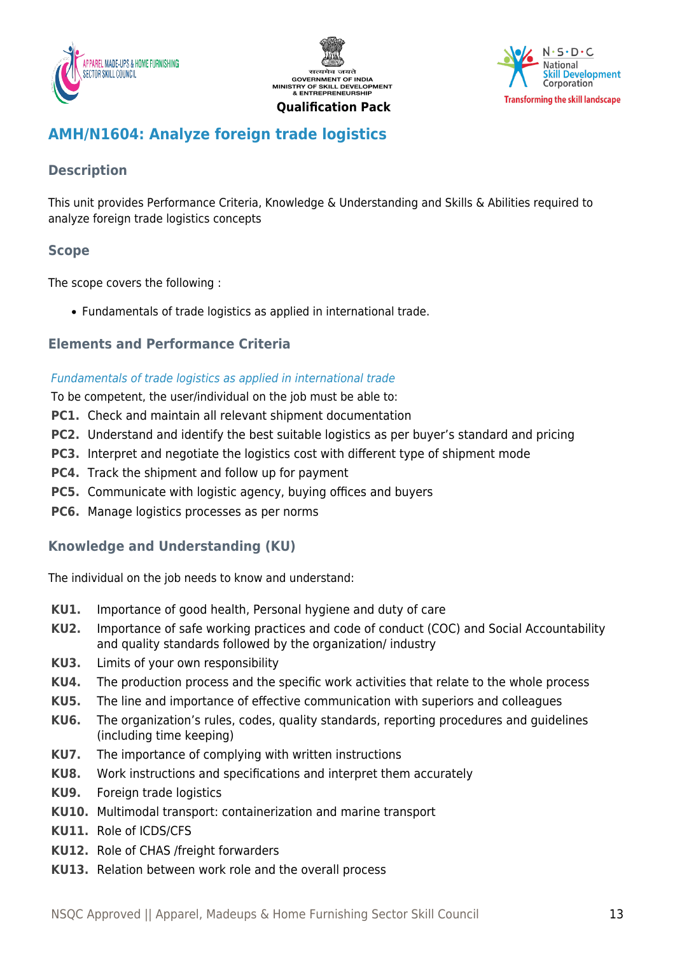





## <span id="page-12-0"></span>**AMH/N1604: Analyze foreign trade logistics**

## **Description**

This unit provides Performance Criteria, Knowledge & Understanding and Skills & Abilities required to analyze foreign trade logistics concepts

## **Scope**

The scope covers the following :

Fundamentals of trade logistics as applied in international trade.

## **Elements and Performance Criteria**

#### Fundamentals of trade logistics as applied in international trade

To be competent, the user/individual on the job must be able to:

- **PC1.** Check and maintain all relevant shipment documentation
- **PC2.** Understand and identify the best suitable logistics as per buyer's standard and pricing
- **PC3.** Interpret and negotiate the logistics cost with different type of shipment mode
- **PC4.** Track the shipment and follow up for payment
- **PC5.** Communicate with logistic agency, buying offices and buyers
- **PC6.** Manage logistics processes as per norms

## **Knowledge and Understanding (KU)**

The individual on the job needs to know and understand:

- **KU1.** Importance of good health, Personal hygiene and duty of care
- **KU2.** Importance of safe working practices and code of conduct (COC) and Social Accountability and quality standards followed by the organization/ industry
- **KU3.** Limits of your own responsibility
- **KU4.** The production process and the specific work activities that relate to the whole process
- **KU5.** The line and importance of effective communication with superiors and colleagues
- **KU6.** The organization's rules, codes, quality standards, reporting procedures and guidelines (including time keeping)
- **KU7.** The importance of complying with written instructions
- **KU8.** Work instructions and specifications and interpret them accurately
- **KU9.** Foreign trade logistics
- **KU10.** Multimodal transport: containerization and marine transport
- **KU11.** Role of ICDS/CFS
- **KU12.** Role of CHAS /freight forwarders
- **KU13.** Relation between work role and the overall process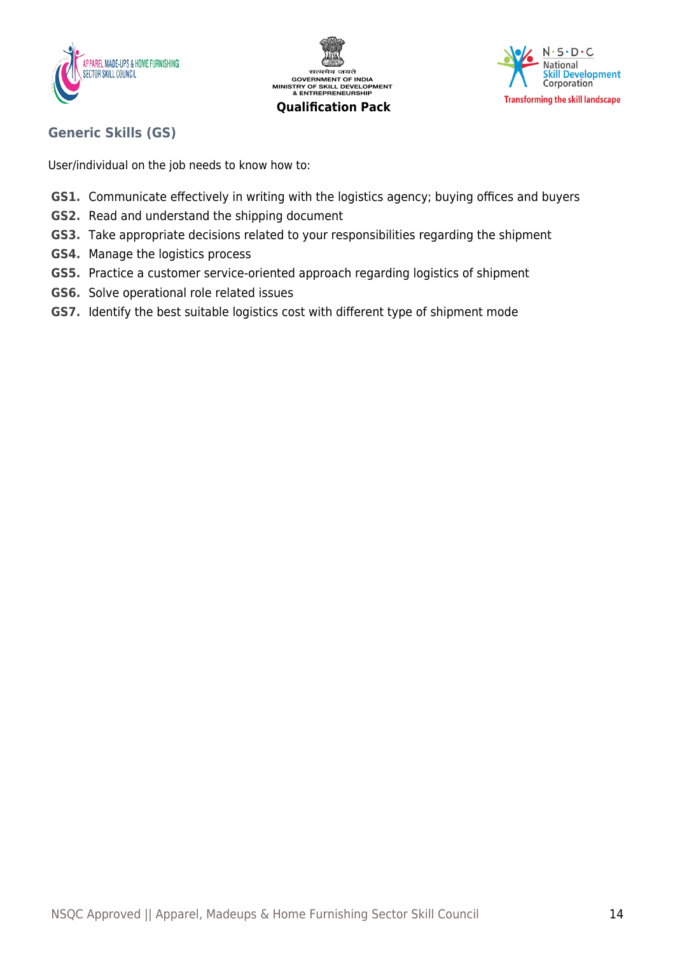





## **Generic Skills (GS)**

User/individual on the job needs to know how to:

- **GS1.** Communicate effectively in writing with the logistics agency; buying offices and buyers
- **GS2.** Read and understand the shipping document
- **GS3.** Take appropriate decisions related to your responsibilities regarding the shipment
- **GS4.** Manage the logistics process
- **GS5.** Practice a customer service-oriented approach regarding logistics of shipment
- **GS6.** Solve operational role related issues
- **GS7.** Identify the best suitable logistics cost with different type of shipment mode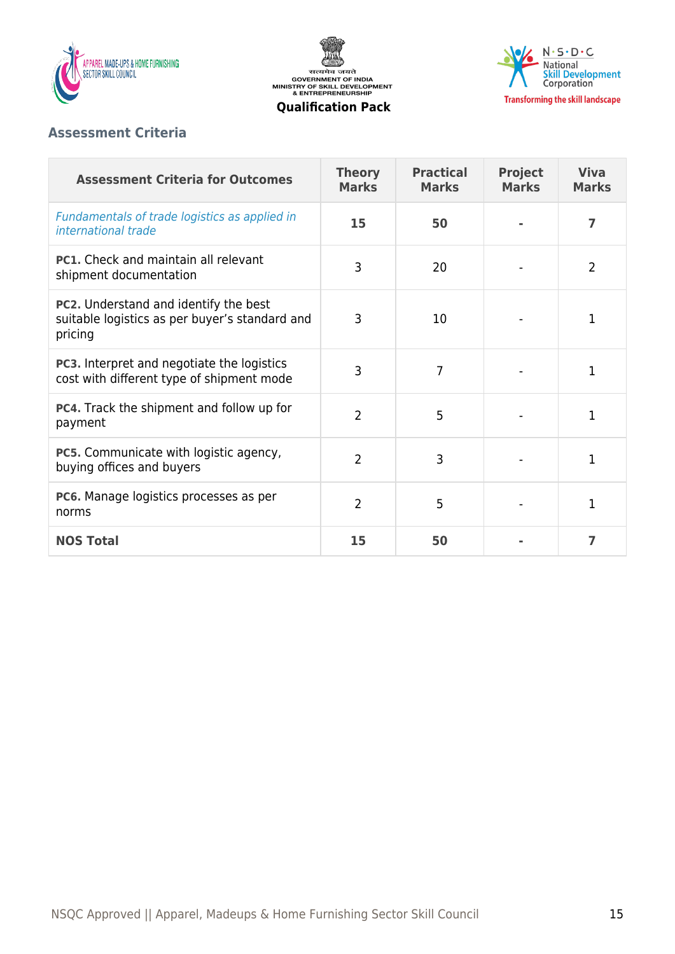

सत्यमेव जयते<br>GOVERNMENT OF INDIA<br>MINISTRY OF SKILL DEVELOPMENT<br>& ENTREPRENEURSHIP



#### **Qualification Pack**

## **Assessment Criteria**

| <b>Assessment Criteria for Outcomes</b>                                                                   | <b>Theory</b><br><b>Marks</b> | <b>Practical</b><br><b>Marks</b> | <b>Project</b><br><b>Marks</b> | <b>Viva</b><br><b>Marks</b> |
|-----------------------------------------------------------------------------------------------------------|-------------------------------|----------------------------------|--------------------------------|-----------------------------|
| Fundamentals of trade logistics as applied in<br>international trade                                      | 15                            | 50                               |                                | 7                           |
| <b>PC1.</b> Check and maintain all relevant<br>shipment documentation                                     | 3                             | 20                               |                                | 2                           |
| <b>PC2.</b> Understand and identify the best<br>suitable logistics as per buyer's standard and<br>pricing | 3                             | 10                               |                                | 1                           |
| <b>PC3.</b> Interpret and negotiate the logistics<br>cost with different type of shipment mode            | 3                             | 7                                |                                | 1                           |
| PC4. Track the shipment and follow up for<br>payment                                                      | $\overline{2}$                | 5                                |                                | 1                           |
| <b>PC5.</b> Communicate with logistic agency,<br>buying offices and buyers                                | $\overline{2}$                | 3                                |                                | 1                           |
| PC6. Manage logistics processes as per<br>norms                                                           | $\overline{2}$                | 5                                |                                | 1                           |
| <b>NOS Total</b>                                                                                          | 15                            | 50                               |                                | 7                           |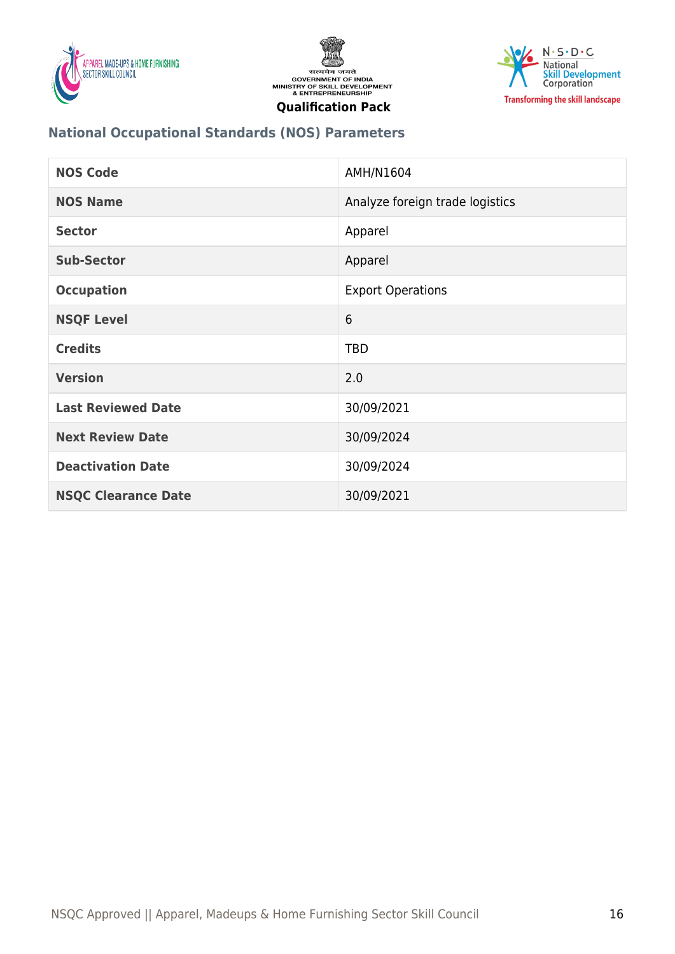





## **National Occupational Standards (NOS) Parameters**

| <b>NOS Code</b>            | AMH/N1604                       |
|----------------------------|---------------------------------|
| <b>NOS Name</b>            | Analyze foreign trade logistics |
| <b>Sector</b>              | Apparel                         |
| <b>Sub-Sector</b>          | Apparel                         |
| <b>Occupation</b>          | <b>Export Operations</b>        |
| <b>NSQF Level</b>          | 6                               |
| <b>Credits</b>             | <b>TBD</b>                      |
| <b>Version</b>             | 2.0                             |
| <b>Last Reviewed Date</b>  | 30/09/2021                      |
| <b>Next Review Date</b>    | 30/09/2024                      |
| <b>Deactivation Date</b>   | 30/09/2024                      |
| <b>NSQC Clearance Date</b> | 30/09/2021                      |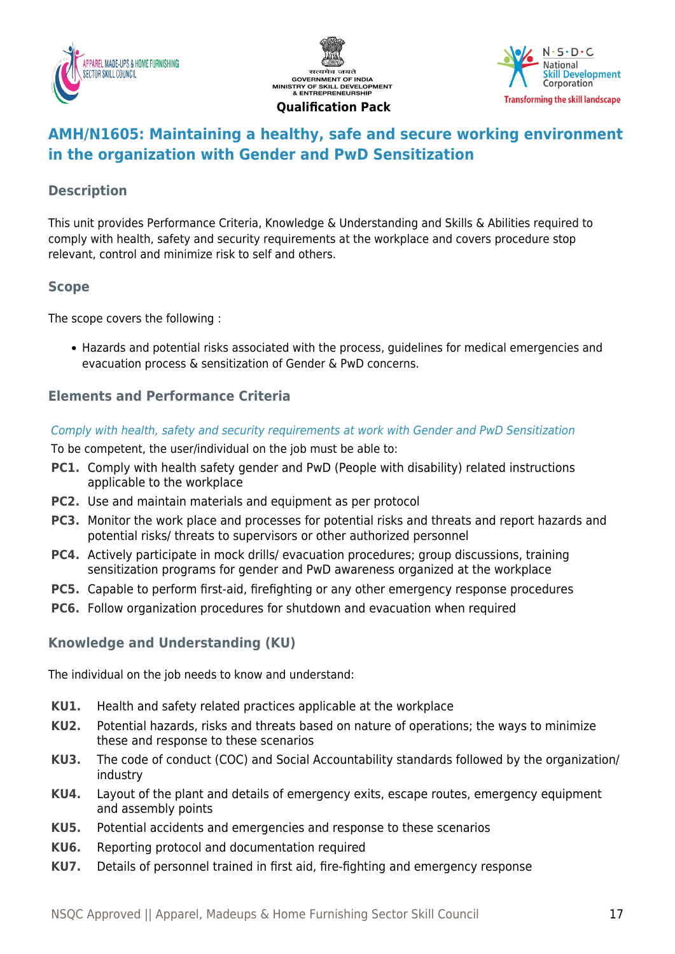





## <span id="page-16-0"></span>**AMH/N1605: Maintaining a healthy, safe and secure working environment in the organization with Gender and PwD Sensitization**

## **Description**

This unit provides Performance Criteria, Knowledge & Understanding and Skills & Abilities required to comply with health, safety and security requirements at the workplace and covers procedure stop relevant, control and minimize risk to self and others.

## **Scope**

The scope covers the following :

Hazards and potential risks associated with the process, guidelines for medical emergencies and evacuation process & sensitization of Gender & PwD concerns.

## **Elements and Performance Criteria**

#### Comply with health, safety and security requirements at work with Gender and PwD Sensitization

To be competent, the user/individual on the job must be able to:

- **PC1.** Comply with health safety gender and PwD (People with disability) related instructions applicable to the workplace
- **PC2.** Use and maintain materials and equipment as per protocol
- **PC3.** Monitor the work place and processes for potential risks and threats and report hazards and potential risks/ threats to supervisors or other authorized personnel
- **PC4.** Actively participate in mock drills/ evacuation procedures; group discussions, training sensitization programs for gender and PwD awareness organized at the workplace
- **PC5.** Capable to perform first-aid, firefighting or any other emergency response procedures
- **PC6.** Follow organization procedures for shutdown and evacuation when required

## **Knowledge and Understanding (KU)**

The individual on the job needs to know and understand:

- **KU1.** Health and safety related practices applicable at the workplace
- **KU2.** Potential hazards, risks and threats based on nature of operations; the ways to minimize these and response to these scenarios
- **KU3.** The code of conduct (COC) and Social Accountability standards followed by the organization/ industry
- **KU4.** Layout of the plant and details of emergency exits, escape routes, emergency equipment and assembly points
- **KU5.** Potential accidents and emergencies and response to these scenarios
- **KU6.** Reporting protocol and documentation required
- **KU7.** Details of personnel trained in first aid, fire-fighting and emergency response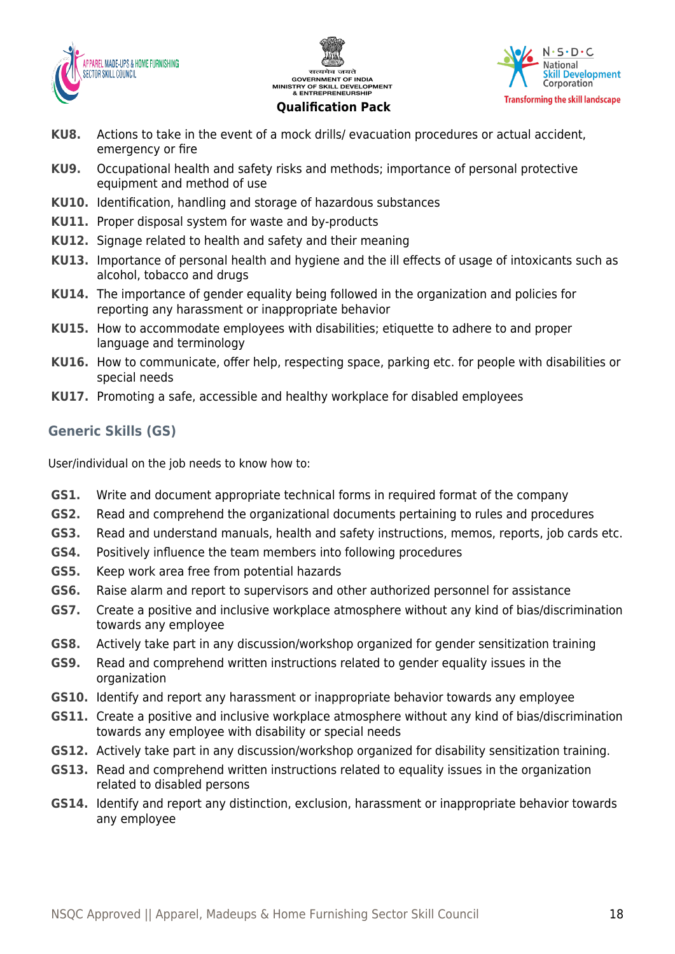





- **KU8.** Actions to take in the event of a mock drills/ evacuation procedures or actual accident, emergency or fire
- **KU9.** Occupational health and safety risks and methods; importance of personal protective equipment and method of use
- **KU10.** Identification, handling and storage of hazardous substances
- **KU11.** Proper disposal system for waste and by-products
- **KU12.** Signage related to health and safety and their meaning
- **KU13.** Importance of personal health and hygiene and the ill effects of usage of intoxicants such as alcohol, tobacco and drugs
- **KU14.** The importance of gender equality being followed in the organization and policies for reporting any harassment or inappropriate behavior
- **KU15.** How to accommodate employees with disabilities; etiquette to adhere to and proper language and terminology
- **KU16.** How to communicate, offer help, respecting space, parking etc. for people with disabilities or special needs
- **KU17.** Promoting a safe, accessible and healthy workplace for disabled employees

## **Generic Skills (GS)**

User/individual on the job needs to know how to:

- **GS1.** Write and document appropriate technical forms in required format of the company
- **GS2.** Read and comprehend the organizational documents pertaining to rules and procedures
- **GS3.** Read and understand manuals, health and safety instructions, memos, reports, job cards etc.
- **GS4.** Positively influence the team members into following procedures
- **GS5.** Keep work area free from potential hazards
- **GS6.** Raise alarm and report to supervisors and other authorized personnel for assistance
- **GS7.** Create a positive and inclusive workplace atmosphere without any kind of bias/discrimination towards any employee
- **GS8.** Actively take part in any discussion/workshop organized for gender sensitization training
- **GS9.** Read and comprehend written instructions related to gender equality issues in the organization
- **GS10.** Identify and report any harassment or inappropriate behavior towards any employee
- **GS11.** Create a positive and inclusive workplace atmosphere without any kind of bias/discrimination towards any employee with disability or special needs
- **GS12.** Actively take part in any discussion/workshop organized for disability sensitization training.
- **GS13.** Read and comprehend written instructions related to equality issues in the organization related to disabled persons
- **GS14.** Identify and report any distinction, exclusion, harassment or inappropriate behavior towards any employee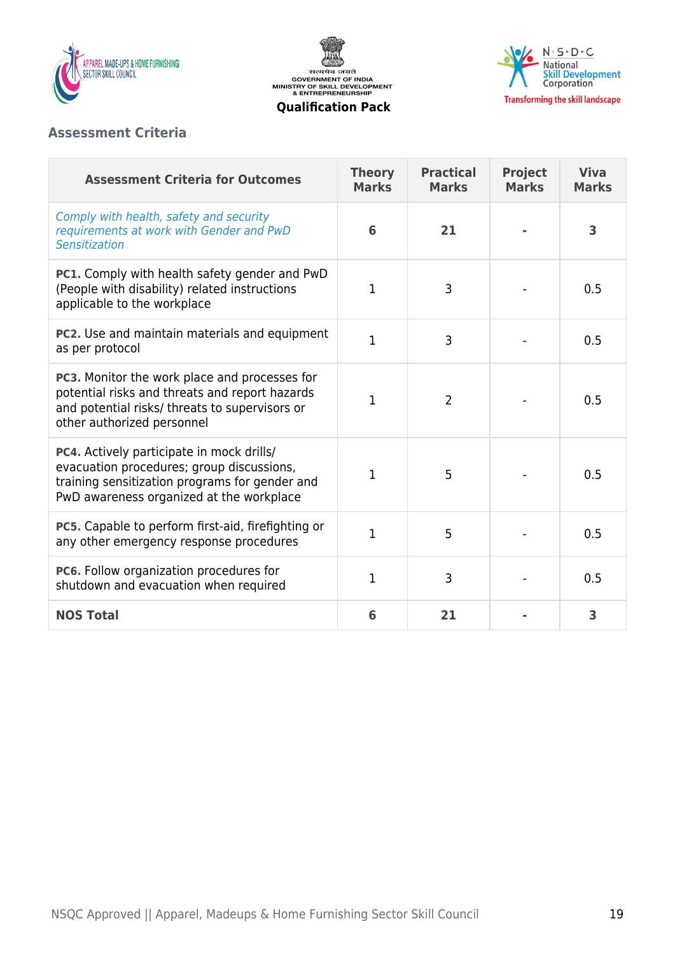

सत्यमेव जयते<br>GOVERNMENT OF INDIA<br>MINISTRY OF SKILL DEVELOPMENT<br>& ENTREPRENEURSHIP **Qualification Pack**



## **Assessment Criteria**

| <b>Assessment Criteria for Outcomes</b>                                                                                                                                                     | <b>Theory</b><br><b>Marks</b> | <b>Practical</b><br><b>Marks</b> | <b>Project</b><br><b>Marks</b> | <b>Viva</b><br><b>Marks</b> |
|---------------------------------------------------------------------------------------------------------------------------------------------------------------------------------------------|-------------------------------|----------------------------------|--------------------------------|-----------------------------|
| Comply with health, safety and security<br>requirements at work with Gender and PwD<br>Sensitization                                                                                        | 6                             | 21                               |                                | 3                           |
| PC1. Comply with health safety gender and PwD<br>(People with disability) related instructions<br>applicable to the workplace                                                               | 1                             | 3                                |                                | 0.5                         |
| PC2. Use and maintain materials and equipment<br>as per protocol                                                                                                                            | $\mathbf{1}$                  | 3                                |                                | 0.5                         |
| PC3. Monitor the work place and processes for<br>potential risks and threats and report hazards<br>and potential risks/ threats to supervisors or<br>other authorized personnel             | 1                             | $\overline{2}$                   |                                | 0.5                         |
| <b>PC4.</b> Actively participate in mock drills/<br>evacuation procedures; group discussions,<br>training sensitization programs for gender and<br>PwD awareness organized at the workplace | 1                             | 5                                |                                | 0.5                         |
| PC5. Capable to perform first-aid, firefighting or<br>any other emergency response procedures                                                                                               | $\mathbf{1}$                  | 5                                |                                | 0.5                         |
| PC6. Follow organization procedures for<br>shutdown and evacuation when required                                                                                                            | $\mathbf{1}$                  | 3                                |                                | 0.5                         |
| <b>NOS Total</b>                                                                                                                                                                            | 6                             | 21                               |                                | 3                           |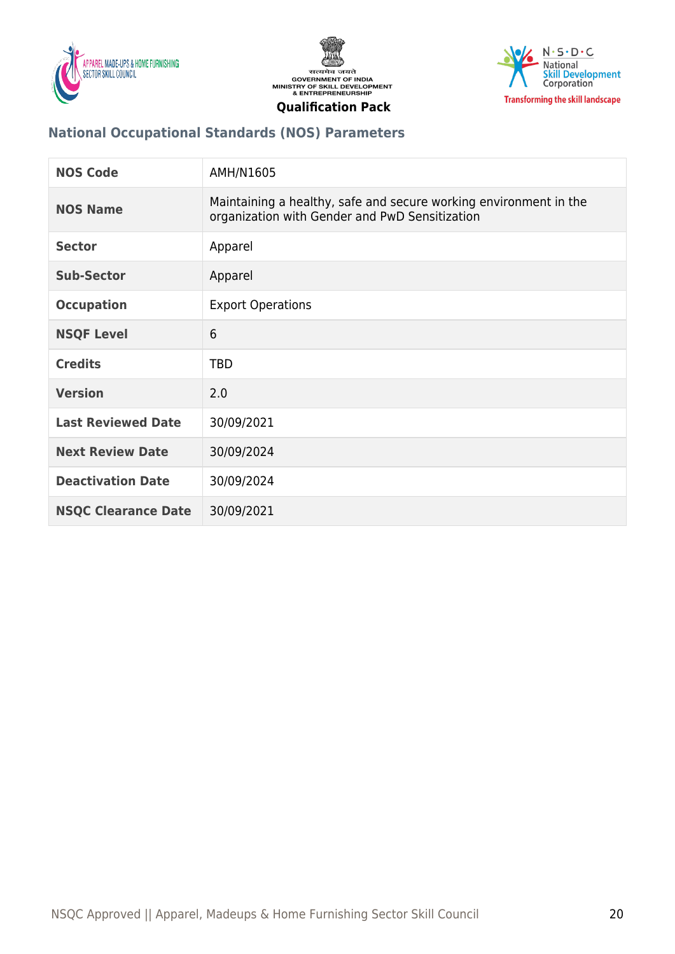





## **National Occupational Standards (NOS) Parameters**

| <b>NOS Code</b>            | AMH/N1605                                                                                                           |
|----------------------------|---------------------------------------------------------------------------------------------------------------------|
| <b>NOS Name</b>            | Maintaining a healthy, safe and secure working environment in the<br>organization with Gender and PwD Sensitization |
| <b>Sector</b>              | Apparel                                                                                                             |
| <b>Sub-Sector</b>          | Apparel                                                                                                             |
| <b>Occupation</b>          | <b>Export Operations</b>                                                                                            |
| <b>NSQF Level</b>          | 6                                                                                                                   |
| <b>Credits</b>             | <b>TBD</b>                                                                                                          |
| <b>Version</b>             | 2.0                                                                                                                 |
| <b>Last Reviewed Date</b>  | 30/09/2021                                                                                                          |
| <b>Next Review Date</b>    | 30/09/2024                                                                                                          |
| <b>Deactivation Date</b>   | 30/09/2024                                                                                                          |
| <b>NSQC Clearance Date</b> | 30/09/2021                                                                                                          |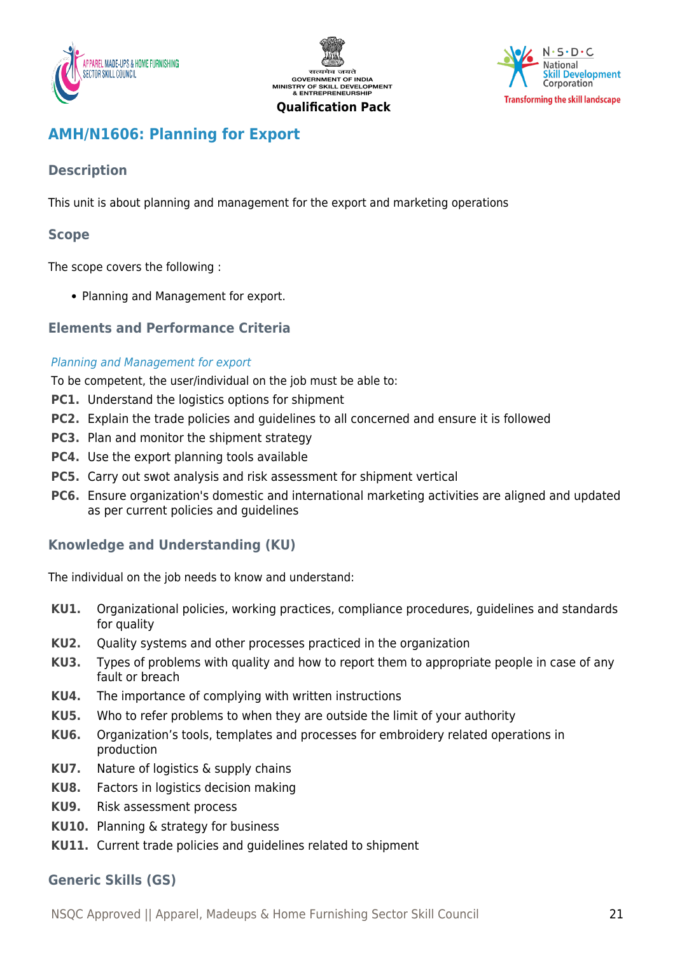





## <span id="page-20-0"></span>**AMH/N1606: Planning for Export**

## **Description**

This unit is about planning and management for the export and marketing operations

## **Scope**

The scope covers the following :

• Planning and Management for export.

## **Elements and Performance Criteria**

#### Planning and Management for export

To be competent, the user/individual on the job must be able to:

- **PC1.** Understand the logistics options for shipment
- **PC2.** Explain the trade policies and guidelines to all concerned and ensure it is followed
- **PC3.** Plan and monitor the shipment strategy
- **PC4.** Use the export planning tools available
- **PC5.** Carry out swot analysis and risk assessment for shipment vertical
- **PC6.** Ensure organization's domestic and international marketing activities are aligned and updated as per current policies and guidelines

## **Knowledge and Understanding (KU)**

The individual on the job needs to know and understand:

- **KU1.** Organizational policies, working practices, compliance procedures, guidelines and standards for quality
- **KU2.** Quality systems and other processes practiced in the organization
- **KU3.** Types of problems with quality and how to report them to appropriate people in case of any fault or breach
- **KU4.** The importance of complying with written instructions
- **KU5.** Who to refer problems to when they are outside the limit of your authority
- **KU6.** Organization's tools, templates and processes for embroidery related operations in production
- **KU7.** Nature of logistics & supply chains
- **KU8.** Factors in logistics decision making
- **KU9.** Risk assessment process
- **KU10.** Planning & strategy for business
- **KU11.** Current trade policies and guidelines related to shipment

## **Generic Skills (GS)**

NSQC Approved || Apparel, Madeups & Home Furnishing Sector Skill Council 21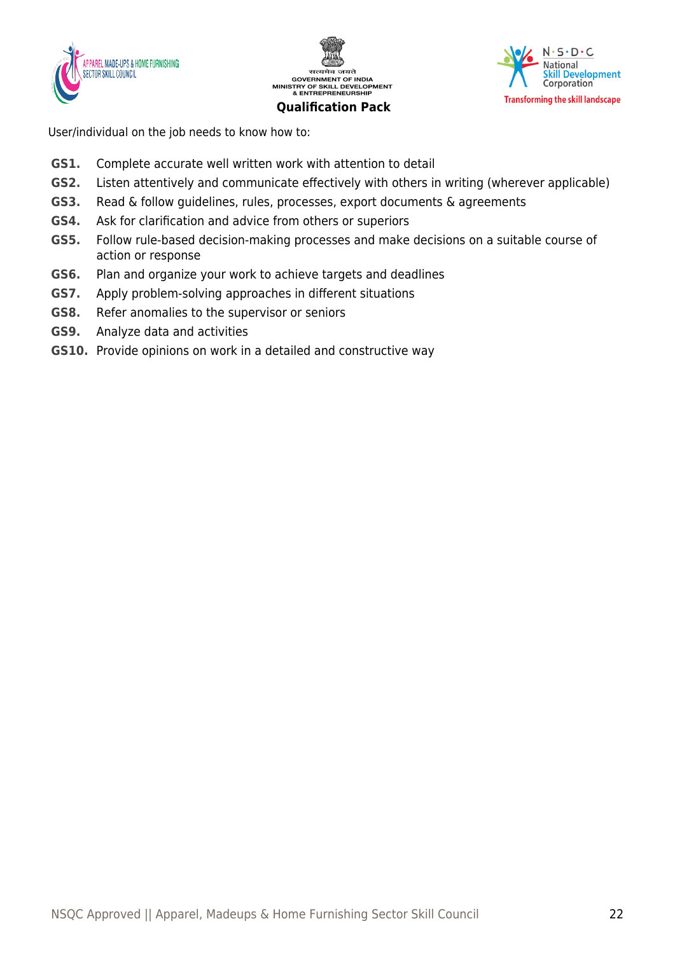





User/individual on the job needs to know how to:

- **GS1.** Complete accurate well written work with attention to detail
- **GS2.** Listen attentively and communicate effectively with others in writing (wherever applicable)
- **GS3.** Read & follow guidelines, rules, processes, export documents & agreements
- **GS4.** Ask for clarification and advice from others or superiors
- **GS5.** Follow rule-based decision-making processes and make decisions on a suitable course of action or response
- **GS6.** Plan and organize your work to achieve targets and deadlines
- **GS7.** Apply problem-solving approaches in different situations
- **GS8.** Refer anomalies to the supervisor or seniors
- **GS9.** Analyze data and activities
- **GS10.** Provide opinions on work in a detailed and constructive way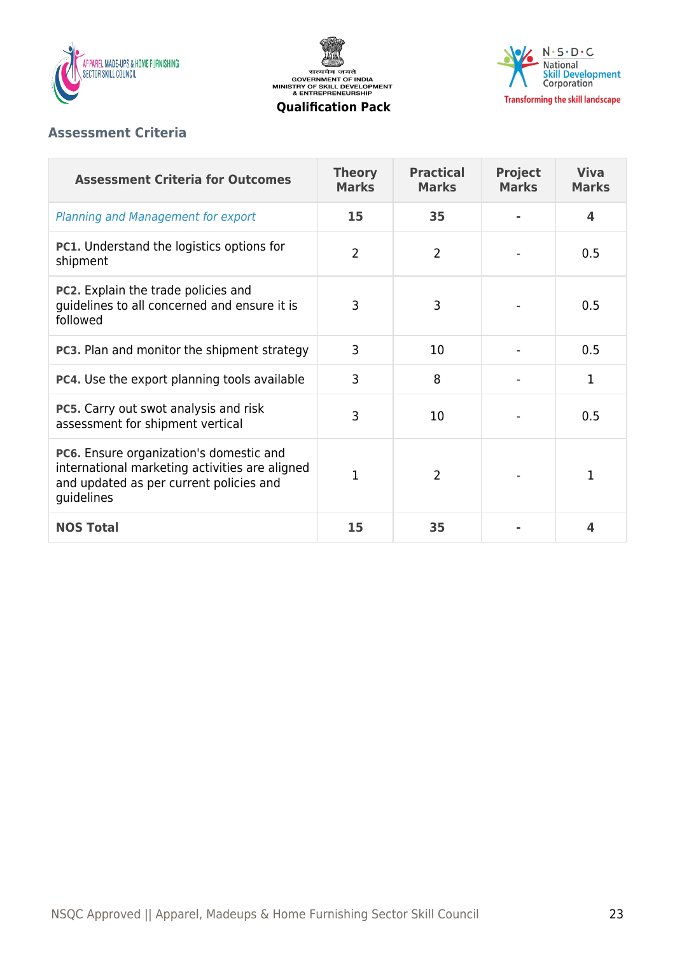





## **Assessment Criteria**

| <b>Assessment Criteria for Outcomes</b>                                                                                                                   | <b>Theory</b><br><b>Marks</b> | <b>Practical</b><br><b>Marks</b> | <b>Project</b><br><b>Marks</b> | <b>Viva</b><br><b>Marks</b> |
|-----------------------------------------------------------------------------------------------------------------------------------------------------------|-------------------------------|----------------------------------|--------------------------------|-----------------------------|
| Planning and Management for export                                                                                                                        | 15                            | 35                               |                                | 4                           |
| <b>PC1.</b> Understand the logistics options for<br>shipment                                                                                              | $\overline{2}$                | $\overline{2}$                   |                                | 0.5                         |
| <b>PC2.</b> Explain the trade policies and<br>guidelines to all concerned and ensure it is<br>followed                                                    | 3                             | 3                                |                                | 0.5                         |
| <b>PC3.</b> Plan and monitor the shipment strategy                                                                                                        | 3                             | 10                               |                                | 0.5                         |
| <b>PC4.</b> Use the export planning tools available                                                                                                       | 3                             | 8                                |                                | 1                           |
| <b>PC5.</b> Carry out swot analysis and risk<br>assessment for shipment vertical                                                                          | 3                             | 10                               |                                | 0.5                         |
| <b>PC6.</b> Ensure organization's domestic and<br>international marketing activities are aligned<br>and updated as per current policies and<br>guidelines | 1                             | $\overline{2}$                   |                                | 1                           |
| <b>NOS Total</b>                                                                                                                                          | 15                            | 35                               |                                | 4                           |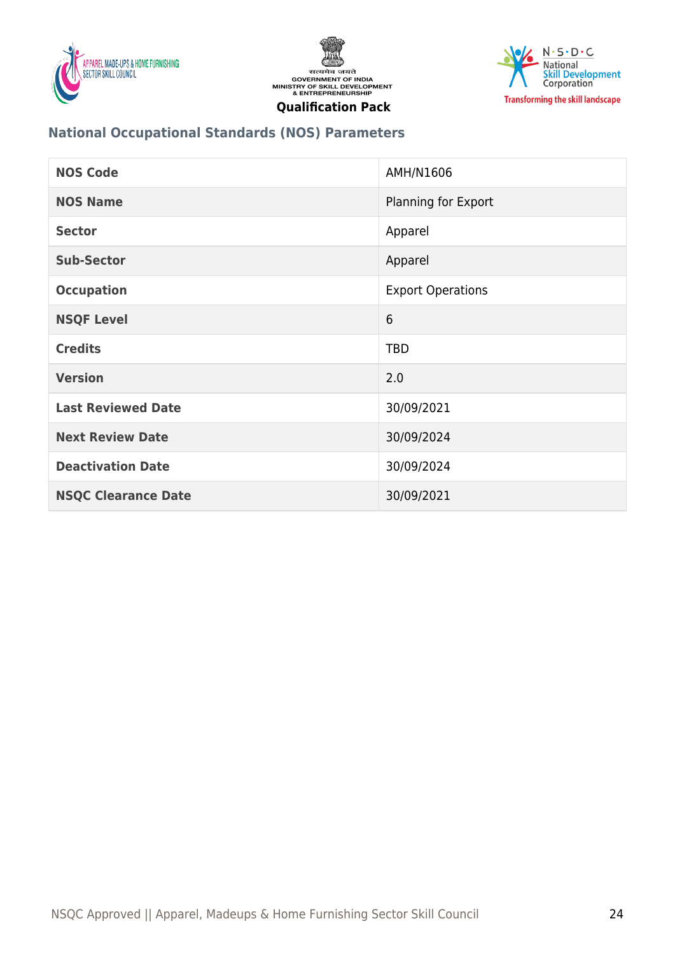





## **National Occupational Standards (NOS) Parameters**

| <b>NOS Code</b>            | AMH/N1606                |
|----------------------------|--------------------------|
| <b>NOS Name</b>            | Planning for Export      |
| <b>Sector</b>              | Apparel                  |
| <b>Sub-Sector</b>          | Apparel                  |
| <b>Occupation</b>          | <b>Export Operations</b> |
| <b>NSQF Level</b>          | 6                        |
| <b>Credits</b>             | <b>TBD</b>               |
| <b>Version</b>             | 2.0                      |
| <b>Last Reviewed Date</b>  | 30/09/2021               |
| <b>Next Review Date</b>    | 30/09/2024               |
| <b>Deactivation Date</b>   | 30/09/2024               |
| <b>NSQC Clearance Date</b> | 30/09/2021               |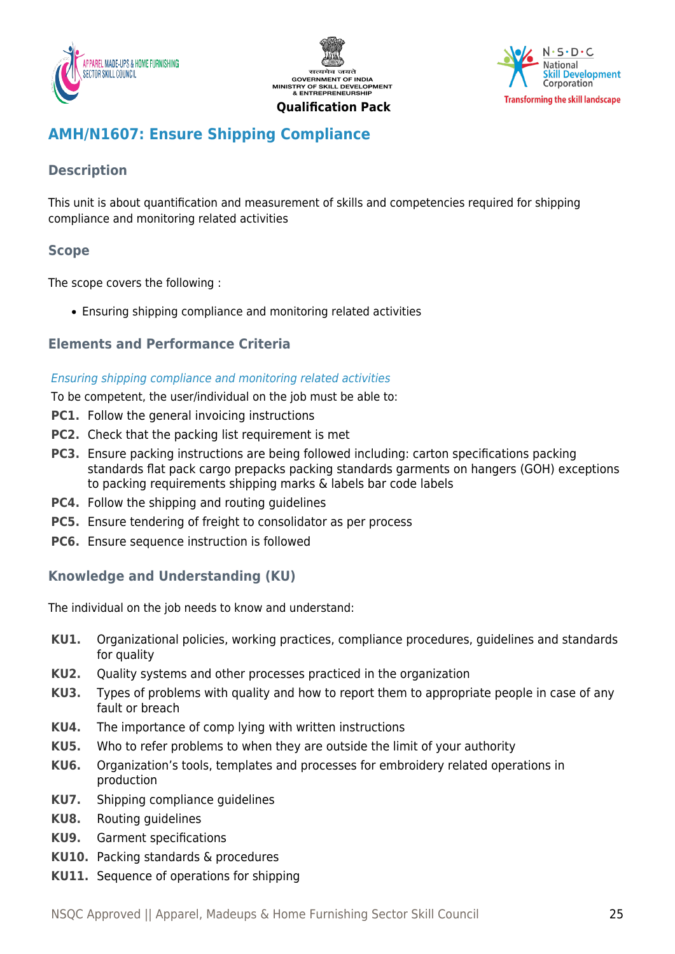





## <span id="page-24-0"></span>**AMH/N1607: Ensure Shipping Compliance**

## **Description**

This unit is about quantification and measurement of skills and competencies required for shipping compliance and monitoring related activities

## **Scope**

The scope covers the following :

Ensuring shipping compliance and monitoring related activities

## **Elements and Performance Criteria**

#### Ensuring shipping compliance and monitoring related activities

To be competent, the user/individual on the job must be able to:

- **PC1.** Follow the general invoicing instructions
- **PC2.** Check that the packing list requirement is met
- **PC3.** Ensure packing instructions are being followed including: carton specifications packing standards flat pack cargo prepacks packing standards garments on hangers (GOH) exceptions to packing requirements shipping marks & labels bar code labels
- **PC4.** Follow the shipping and routing quidelines
- **PC5.** Ensure tendering of freight to consolidator as per process
- **PC6.** Ensure sequence instruction is followed

## **Knowledge and Understanding (KU)**

The individual on the job needs to know and understand:

- **KU1.** Organizational policies, working practices, compliance procedures, guidelines and standards for quality
- **KU2.** Quality systems and other processes practiced in the organization
- **KU3.** Types of problems with quality and how to report them to appropriate people in case of any fault or breach
- **KU4.** The importance of comp lying with written instructions
- **KU5.** Who to refer problems to when they are outside the limit of your authority
- **KU6.** Organization's tools, templates and processes for embroidery related operations in production
- **KU7.** Shipping compliance guidelines
- **KU8.** Routing guidelines
- **KU9.** Garment specifications
- **KU10.** Packing standards & procedures
- **KU11.** Sequence of operations for shipping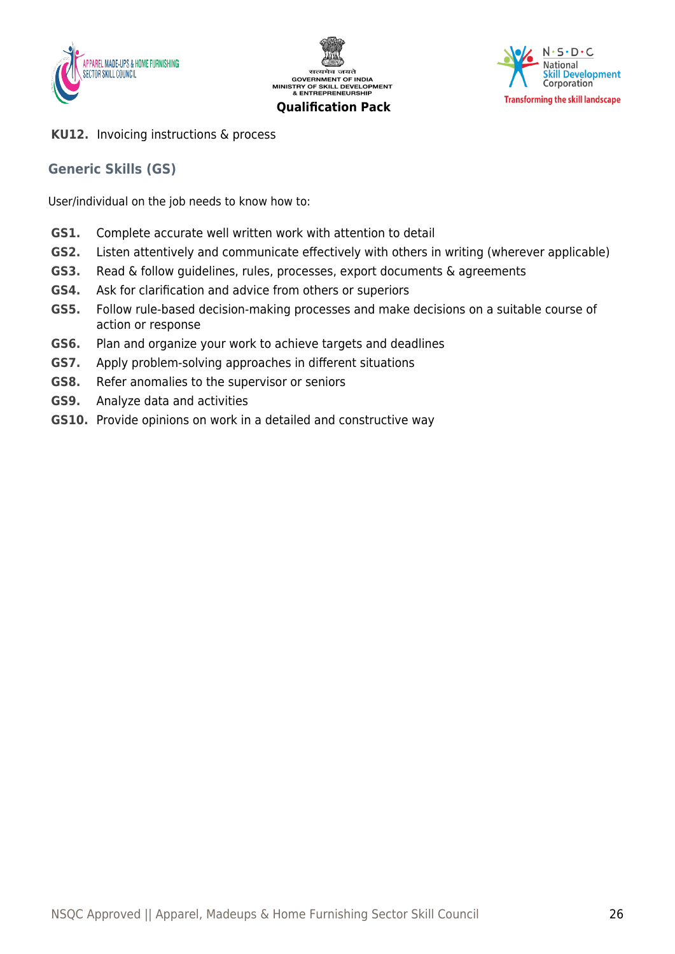





**KU12.** Invoicing instructions & process

## **Generic Skills (GS)**

User/individual on the job needs to know how to:

- **GS1.** Complete accurate well written work with attention to detail
- **GS2.** Listen attentively and communicate effectively with others in writing (wherever applicable)
- **GS3.** Read & follow guidelines, rules, processes, export documents & agreements
- **GS4.** Ask for clarification and advice from others or superiors
- **GS5.** Follow rule-based decision-making processes and make decisions on a suitable course of action or response
- **GS6.** Plan and organize your work to achieve targets and deadlines
- **GS7.** Apply problem-solving approaches in different situations
- **GS8.** Refer anomalies to the supervisor or seniors
- **GS9.** Analyze data and activities
- **GS10.** Provide opinions on work in a detailed and constructive way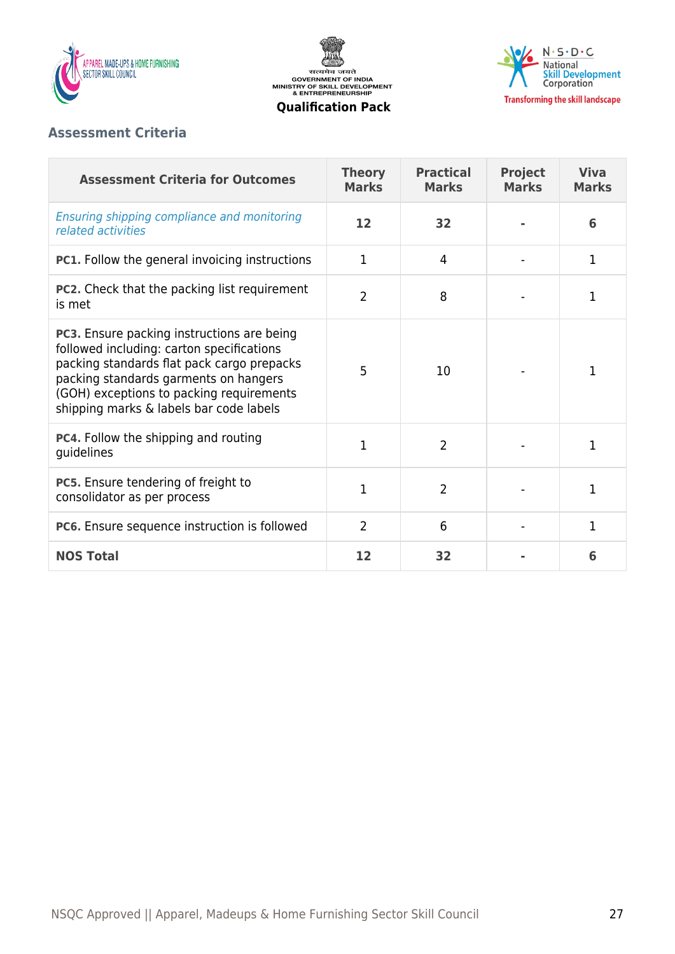

सत्यमेव जयते<br>GOVERNMENT OF INDIA<br>MINISTRY OF SKILL DEVELOPMENT<br>& ENTREPRENEURSHIP



#### **Qualification Pack**

## **Assessment Criteria**

| <b>Assessment Criteria for Outcomes</b>                                                                                                                                                                                                                               | <b>Theory</b><br><b>Marks</b> | <b>Practical</b><br><b>Marks</b> | <b>Project</b><br><b>Marks</b> | <b>Viva</b><br><b>Marks</b> |
|-----------------------------------------------------------------------------------------------------------------------------------------------------------------------------------------------------------------------------------------------------------------------|-------------------------------|----------------------------------|--------------------------------|-----------------------------|
| Ensuring shipping compliance and monitoring<br>related activities                                                                                                                                                                                                     | 12                            | 32                               |                                | 6                           |
| <b>PC1.</b> Follow the general invoicing instructions                                                                                                                                                                                                                 | 1                             | 4                                |                                | $\mathbf 1$                 |
| <b>PC2.</b> Check that the packing list requirement<br>is met                                                                                                                                                                                                         | $\overline{2}$                | 8                                |                                | 1                           |
| PC3. Ensure packing instructions are being<br>followed including: carton specifications<br>packing standards flat pack cargo prepacks<br>packing standards garments on hangers<br>(GOH) exceptions to packing requirements<br>shipping marks & labels bar code labels | 5                             | 10                               |                                | 1                           |
| <b>PC4.</b> Follow the shipping and routing<br>guidelines                                                                                                                                                                                                             | 1                             | $\overline{2}$                   |                                | 1                           |
| PC5. Ensure tendering of freight to<br>consolidator as per process                                                                                                                                                                                                    | 1                             | $\overline{2}$                   |                                | $\mathbf{1}$                |
| PC6. Ensure sequence instruction is followed                                                                                                                                                                                                                          | $\overline{2}$                | 6                                |                                | $\mathbf{1}$                |
| <b>NOS Total</b>                                                                                                                                                                                                                                                      | 12                            | 32                               |                                | 6                           |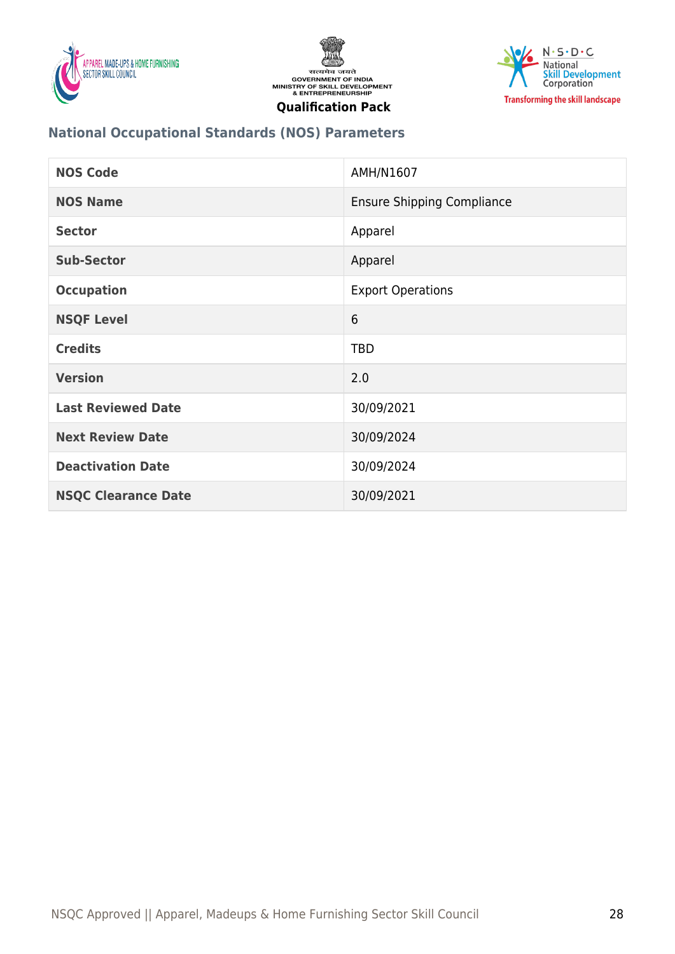





## **National Occupational Standards (NOS) Parameters**

| <b>NOS Code</b>            | AMH/N1607                         |
|----------------------------|-----------------------------------|
| <b>NOS Name</b>            | <b>Ensure Shipping Compliance</b> |
| <b>Sector</b>              | Apparel                           |
| <b>Sub-Sector</b>          | Apparel                           |
| <b>Occupation</b>          | <b>Export Operations</b>          |
| <b>NSQF Level</b>          | 6                                 |
| <b>Credits</b>             | <b>TBD</b>                        |
| <b>Version</b>             | 2.0                               |
| <b>Last Reviewed Date</b>  | 30/09/2021                        |
| <b>Next Review Date</b>    | 30/09/2024                        |
| <b>Deactivation Date</b>   | 30/09/2024                        |
| <b>NSQC Clearance Date</b> | 30/09/2021                        |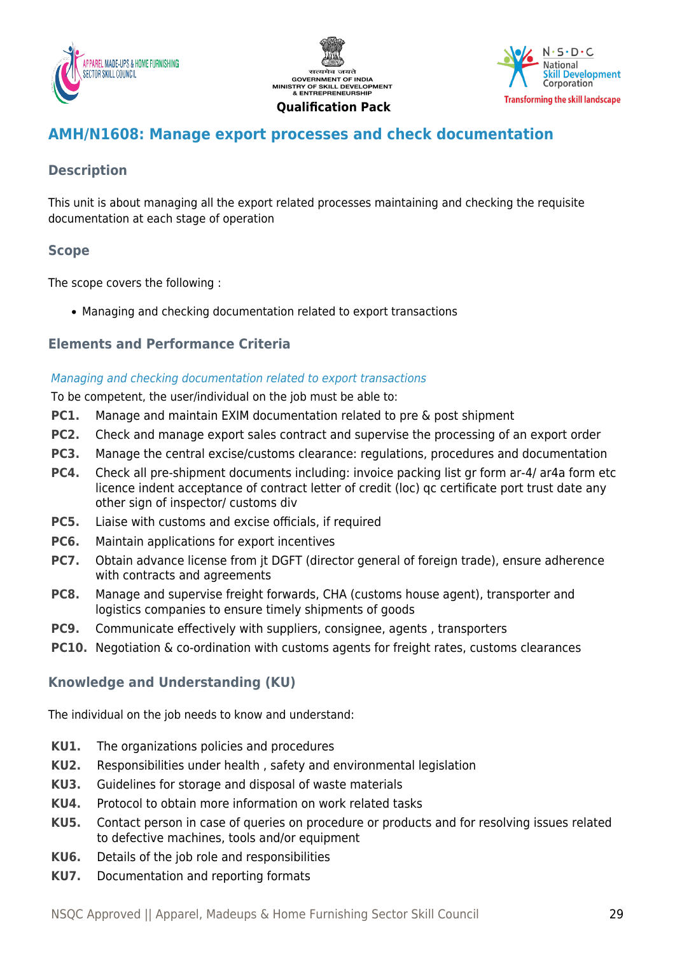





## <span id="page-28-0"></span>**AMH/N1608: Manage export processes and check documentation**

## **Description**

This unit is about managing all the export related processes maintaining and checking the requisite documentation at each stage of operation

## **Scope**

The scope covers the following :

Managing and checking documentation related to export transactions

## **Elements and Performance Criteria**

#### Managing and checking documentation related to export transactions

To be competent, the user/individual on the job must be able to:

- **PC1.** Manage and maintain EXIM documentation related to pre & post shipment
- **PC2.** Check and manage export sales contract and supervise the processing of an export order
- **PC3.** Manage the central excise/customs clearance: regulations, procedures and documentation
- **PC4.** Check all pre-shipment documents including: invoice packing list gr form ar-4/ ar4a form etc licence indent acceptance of contract letter of credit (loc) qc certificate port trust date any other sign of inspector/ customs div
- **PC5.** Liaise with customs and excise officials, if required
- **PC6.** Maintain applications for export incentives
- **PC7.** Obtain advance license from jt DGFT (director general of foreign trade), ensure adherence with contracts and agreements
- **PC8.** Manage and supervise freight forwards, CHA (customs house agent), transporter and logistics companies to ensure timely shipments of goods
- **PC9.** Communicate effectively with suppliers, consignee, agents , transporters
- **PC10.** Negotiation & co-ordination with customs agents for freight rates, customs clearances

## **Knowledge and Understanding (KU)**

The individual on the job needs to know and understand:

- **KU1.** The organizations policies and procedures
- **KU2.** Responsibilities under health , safety and environmental legislation
- **KU3.** Guidelines for storage and disposal of waste materials
- **KU4.** Protocol to obtain more information on work related tasks
- **KU5.** Contact person in case of queries on procedure or products and for resolving issues related to defective machines, tools and/or equipment
- **KU6.** Details of the job role and responsibilities
- **KU7.** Documentation and reporting formats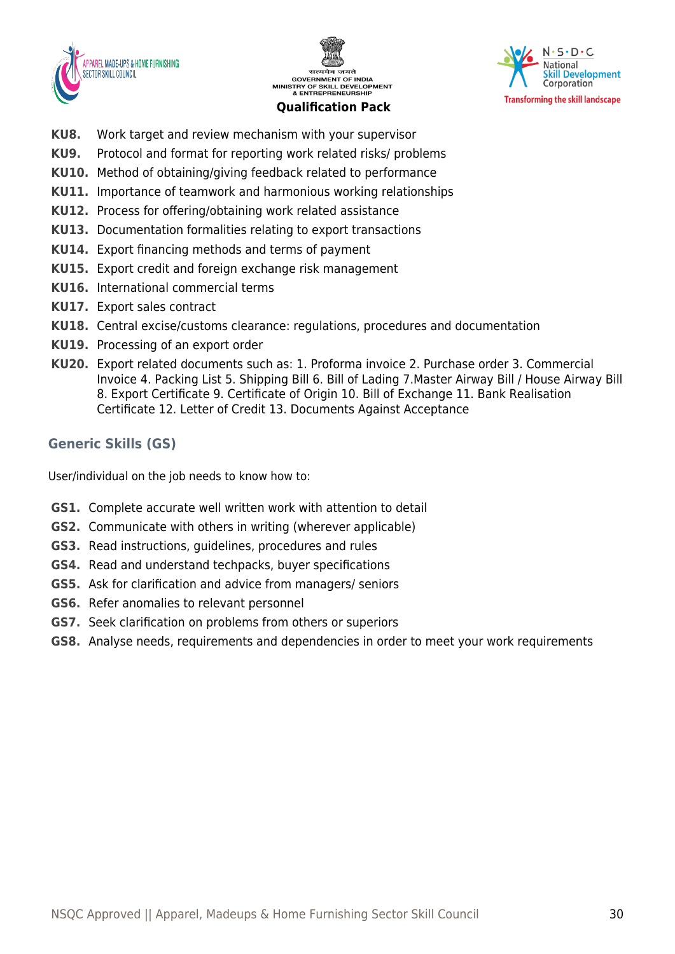





- **KU8.** Work target and review mechanism with your supervisor
- **KU9.** Protocol and format for reporting work related risks/ problems
- **KU10.** Method of obtaining/giving feedback related to performance
- **KU11.** Importance of teamwork and harmonious working relationships
- **KU12.** Process for offering/obtaining work related assistance
- **KU13.** Documentation formalities relating to export transactions
- **KU14.** Export financing methods and terms of payment
- **KU15.** Export credit and foreign exchange risk management
- **KU16.** International commercial terms
- **KU17.** Export sales contract
- **KU18.** Central excise/customs clearance: regulations, procedures and documentation
- **KU19.** Processing of an export order
- **KU20.** Export related documents such as: 1. Proforma invoice 2. Purchase order 3. Commercial Invoice 4. Packing List 5. Shipping Bill 6. Bill of Lading 7.Master Airway Bill / House Airway Bill 8. Export Certificate 9. Certificate of Origin 10. Bill of Exchange 11. Bank Realisation Certificate 12. Letter of Credit 13. Documents Against Acceptance

## **Generic Skills (GS)**

User/individual on the job needs to know how to:

- **GS1.** Complete accurate well written work with attention to detail
- **GS2.** Communicate with others in writing (wherever applicable)
- **GS3.** Read instructions, guidelines, procedures and rules
- **GS4.** Read and understand techpacks, buyer specifications
- **GS5.** Ask for clarification and advice from managers/ seniors
- **GS6.** Refer anomalies to relevant personnel
- **GS7.** Seek clarification on problems from others or superiors
- **GS8.** Analyse needs, requirements and dependencies in order to meet your work requirements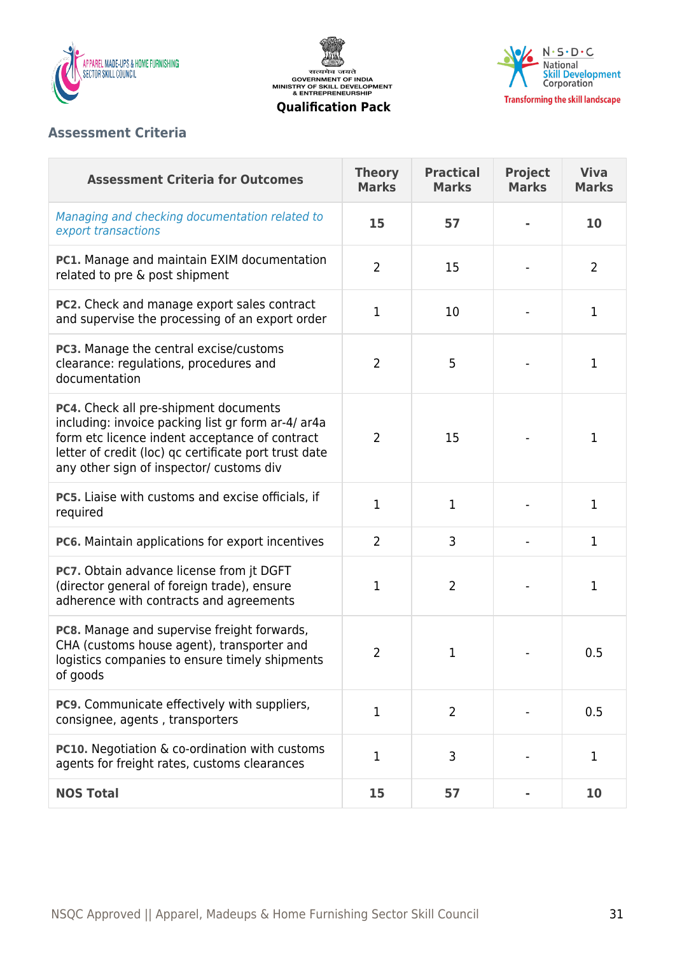

सत्यमेव जयते<br>GOVERNMENT OF INDIA<br>MINISTRY OF SKILL DEVELOPMENT<br>& ENTREPRENEURSHIP



#### **Qualification Pack**

## **Assessment Criteria**

| <b>Assessment Criteria for Outcomes</b>                                                                                                                                                                                                            | <b>Theory</b><br><b>Marks</b> | <b>Practical</b><br><b>Marks</b> | <b>Project</b><br><b>Marks</b> | <b>Viva</b><br><b>Marks</b> |
|----------------------------------------------------------------------------------------------------------------------------------------------------------------------------------------------------------------------------------------------------|-------------------------------|----------------------------------|--------------------------------|-----------------------------|
| Managing and checking documentation related to<br>export transactions                                                                                                                                                                              | 15                            | 57                               |                                | 10                          |
| PC1. Manage and maintain EXIM documentation<br>related to pre & post shipment                                                                                                                                                                      | $\overline{2}$                | 15                               |                                | $\overline{2}$              |
| PC2. Check and manage export sales contract<br>and supervise the processing of an export order                                                                                                                                                     | 1                             | 10                               |                                | $\mathbf 1$                 |
| PC3. Manage the central excise/customs<br>clearance: regulations, procedures and<br>documentation                                                                                                                                                  | $\overline{2}$                | 5                                |                                | 1                           |
| PC4. Check all pre-shipment documents<br>including: invoice packing list gr form ar-4/ ar4a<br>form etc licence indent acceptance of contract<br>letter of credit (loc) qc certificate port trust date<br>any other sign of inspector/ customs div | $\overline{2}$                | 15                               |                                | 1                           |
| PC5. Liaise with customs and excise officials, if<br>required                                                                                                                                                                                      | $\mathbf{1}$                  | $\mathbf{1}$                     |                                | $\mathbf{1}$                |
| PC6. Maintain applications for export incentives                                                                                                                                                                                                   | $\overline{2}$                | 3                                |                                | $\mathbf{1}$                |
| PC7. Obtain advance license from jt DGFT<br>(director general of foreign trade), ensure<br>adherence with contracts and agreements                                                                                                                 | 1                             | $\overline{2}$                   |                                | 1                           |
| PC8. Manage and supervise freight forwards,<br>CHA (customs house agent), transporter and<br>logistics companies to ensure timely shipments<br>of goods                                                                                            | $\overline{2}$                | 1                                |                                | 0.5                         |
| <b>PC9.</b> Communicate effectively with suppliers,<br>consignee, agents, transporters                                                                                                                                                             | 1                             | $\overline{2}$                   |                                | 0.5                         |
| <b>PC10.</b> Negotiation & co-ordination with customs<br>agents for freight rates, customs clearances                                                                                                                                              | $\mathbf 1$                   | 3                                |                                | 1                           |
| <b>NOS Total</b>                                                                                                                                                                                                                                   | 15                            | 57                               |                                | 10                          |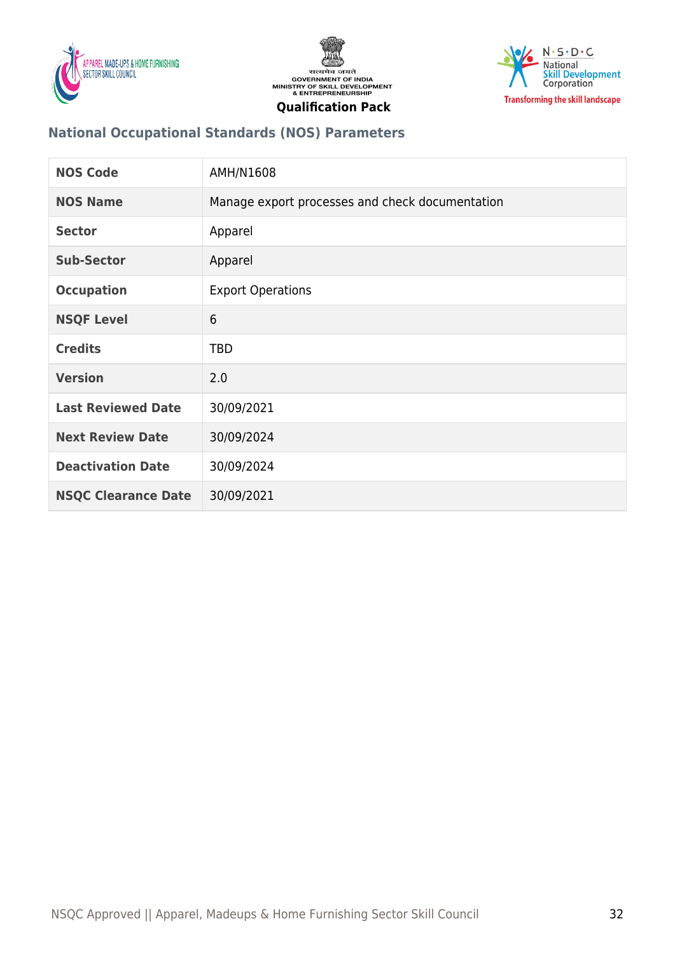





## **National Occupational Standards (NOS) Parameters**

| <b>NOS Code</b>            | AMH/N1608                                       |
|----------------------------|-------------------------------------------------|
| <b>NOS Name</b>            | Manage export processes and check documentation |
| <b>Sector</b>              | Apparel                                         |
| <b>Sub-Sector</b>          | Apparel                                         |
| <b>Occupation</b>          | <b>Export Operations</b>                        |
| <b>NSQF Level</b>          | 6                                               |
| <b>Credits</b>             | <b>TBD</b>                                      |
| <b>Version</b>             | 2.0                                             |
| <b>Last Reviewed Date</b>  | 30/09/2021                                      |
| <b>Next Review Date</b>    | 30/09/2024                                      |
| <b>Deactivation Date</b>   | 30/09/2024                                      |
| <b>NSQC Clearance Date</b> | 30/09/2021                                      |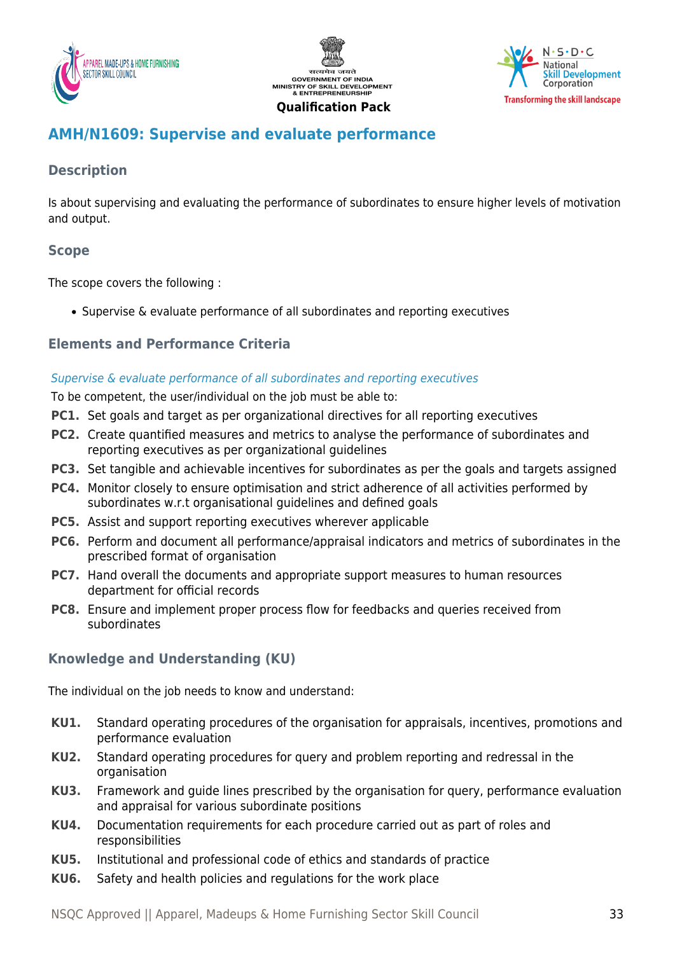





## <span id="page-32-0"></span>**AMH/N1609: Supervise and evaluate performance**

## **Description**

Is about supervising and evaluating the performance of subordinates to ensure higher levels of motivation and output.

## **Scope**

The scope covers the following :

Supervise & evaluate performance of all subordinates and reporting executives

## **Elements and Performance Criteria**

#### Supervise & evaluate performance of all subordinates and reporting executives

To be competent, the user/individual on the job must be able to:

- **PC1.** Set goals and target as per organizational directives for all reporting executives
- **PC2.** Create quantified measures and metrics to analyse the performance of subordinates and reporting executives as per organizational guidelines
- **PC3.** Set tangible and achievable incentives for subordinates as per the goals and targets assigned
- **PC4.** Monitor closely to ensure optimisation and strict adherence of all activities performed by subordinates w.r.t organisational guidelines and defined goals
- **PC5.** Assist and support reporting executives wherever applicable
- **PC6.** Perform and document all performance/appraisal indicators and metrics of subordinates in the prescribed format of organisation
- **PC7.** Hand overall the documents and appropriate support measures to human resources department for official records
- **PC8.** Ensure and implement proper process flow for feedbacks and queries received from subordinates

## **Knowledge and Understanding (KU)**

The individual on the job needs to know and understand:

- **KU1.** Standard operating procedures of the organisation for appraisals, incentives, promotions and performance evaluation
- **KU2.** Standard operating procedures for query and problem reporting and redressal in the organisation
- **KU3.** Framework and guide lines prescribed by the organisation for query, performance evaluation and appraisal for various subordinate positions
- **KU4.** Documentation requirements for each procedure carried out as part of roles and responsibilities
- **KU5.** Institutional and professional code of ethics and standards of practice
- **KU6.** Safety and health policies and regulations for the work place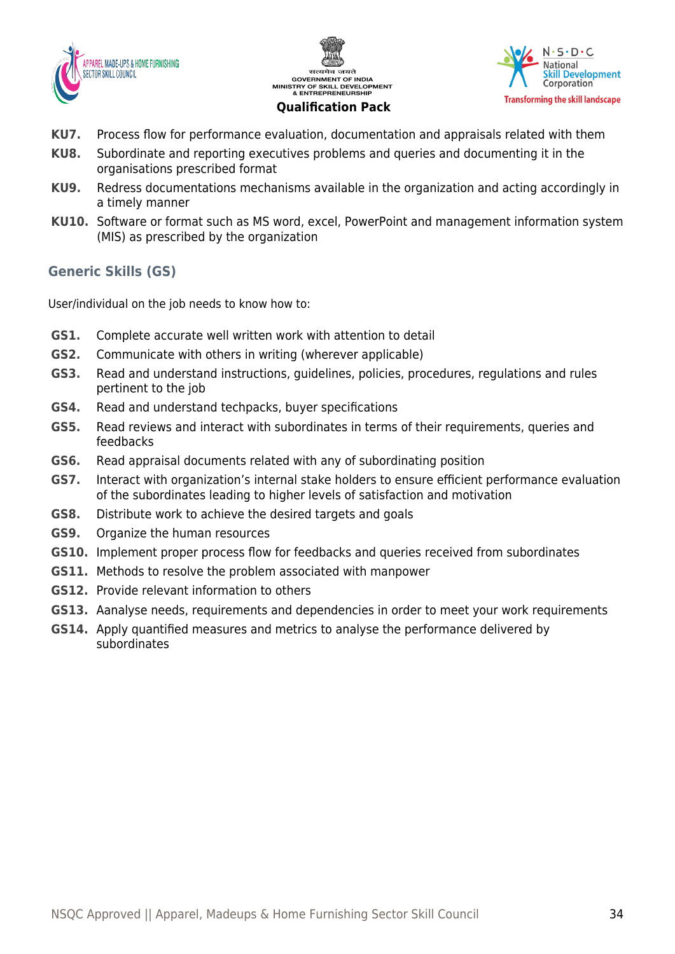





- **KU7.** Process flow for performance evaluation, documentation and appraisals related with them
- **KU8.** Subordinate and reporting executives problems and queries and documenting it in the organisations prescribed format
- **KU9.** Redress documentations mechanisms available in the organization and acting accordingly in a timely manner
- **KU10.** Software or format such as MS word, excel, PowerPoint and management information system (MIS) as prescribed by the organization

## **Generic Skills (GS)**

User/individual on the job needs to know how to:

- **GS1.** Complete accurate well written work with attention to detail
- **GS2.** Communicate with others in writing (wherever applicable)
- **GS3.** Read and understand instructions, guidelines, policies, procedures, regulations and rules pertinent to the job
- **GS4.** Read and understand techpacks, buyer specifications
- **GS5.** Read reviews and interact with subordinates in terms of their requirements, queries and feedbacks
- **GS6.** Read appraisal documents related with any of subordinating position
- **GS7.** Interact with organization's internal stake holders to ensure efficient performance evaluation of the subordinates leading to higher levels of satisfaction and motivation
- **GS8.** Distribute work to achieve the desired targets and goals
- **GS9.** Organize the human resources
- **GS10.** Implement proper process flow for feedbacks and queries received from subordinates
- **GS11.** Methods to resolve the problem associated with manpower
- **GS12.** Provide relevant information to others
- **GS13.** Aanalyse needs, requirements and dependencies in order to meet your work requirements
- **GS14.** Apply quantified measures and metrics to analyse the performance delivered by subordinates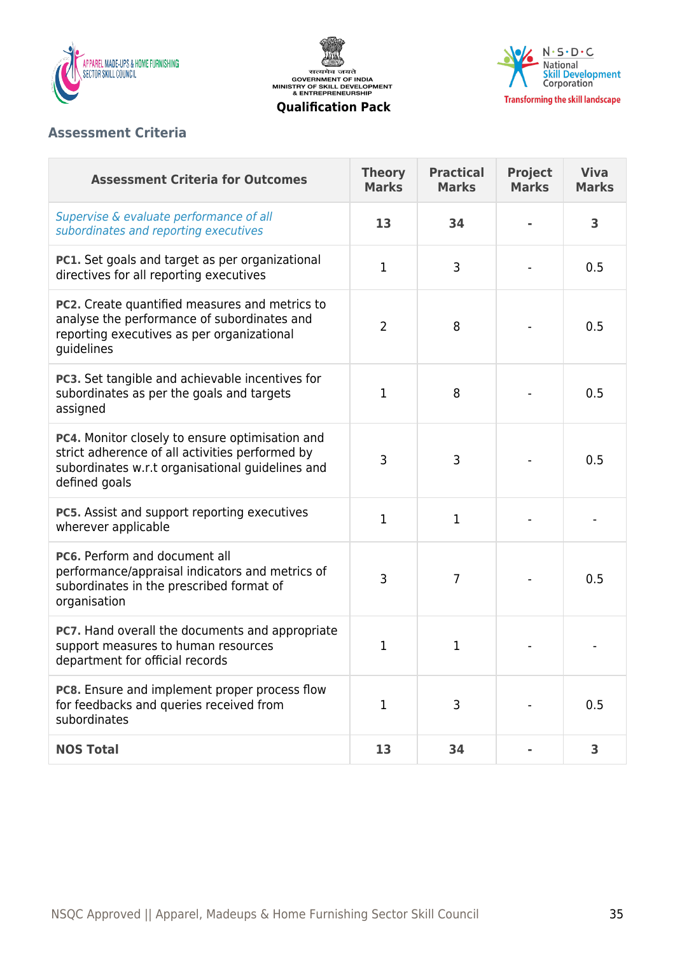

सत्यमेव जयते<br>GOVERNMENT OF INDIA<br>MINISTRY OF SKILL DEVELOPMENT<br>& ENTREPRENEURSHIP **Qualification Pack**



## **Assessment Criteria**

| <b>Assessment Criteria for Outcomes</b>                                                                                                                                 | <b>Theory</b><br><b>Marks</b> | <b>Practical</b><br><b>Marks</b> | <b>Project</b><br><b>Marks</b> | <b>Viva</b><br><b>Marks</b> |
|-------------------------------------------------------------------------------------------------------------------------------------------------------------------------|-------------------------------|----------------------------------|--------------------------------|-----------------------------|
| Supervise & evaluate performance of all<br>subordinates and reporting executives                                                                                        | 13                            | 34                               |                                | 3                           |
| PC1. Set goals and target as per organizational<br>directives for all reporting executives                                                                              | $\mathbf 1$                   | 3                                |                                | 0.5                         |
| <b>PC2.</b> Create quantified measures and metrics to<br>analyse the performance of subordinates and<br>reporting executives as per organizational<br>guidelines        | $\overline{2}$                | 8                                |                                | 0.5                         |
| PC3. Set tangible and achievable incentives for<br>subordinates as per the goals and targets<br>assigned                                                                | 1                             | 8                                |                                | 0.5                         |
| PC4. Monitor closely to ensure optimisation and<br>strict adherence of all activities performed by<br>subordinates w.r.t organisational guidelines and<br>defined goals | 3                             | 3                                |                                | 0.5                         |
| PC5. Assist and support reporting executives<br>wherever applicable                                                                                                     | $\mathbf{1}$                  | 1                                |                                |                             |
| PC6. Perform and document all<br>performance/appraisal indicators and metrics of<br>subordinates in the prescribed format of<br>organisation                            | 3                             | $\overline{7}$                   |                                | 0.5                         |
| PC7. Hand overall the documents and appropriate<br>support measures to human resources<br>department for official records                                               | 1                             | 1                                |                                |                             |
| PC8. Ensure and implement proper process flow<br>for feedbacks and queries received from<br>subordinates                                                                | $\mathbf{1}$                  | 3                                |                                | 0.5                         |
| <b>NOS Total</b>                                                                                                                                                        | 13                            | 34                               |                                | 3                           |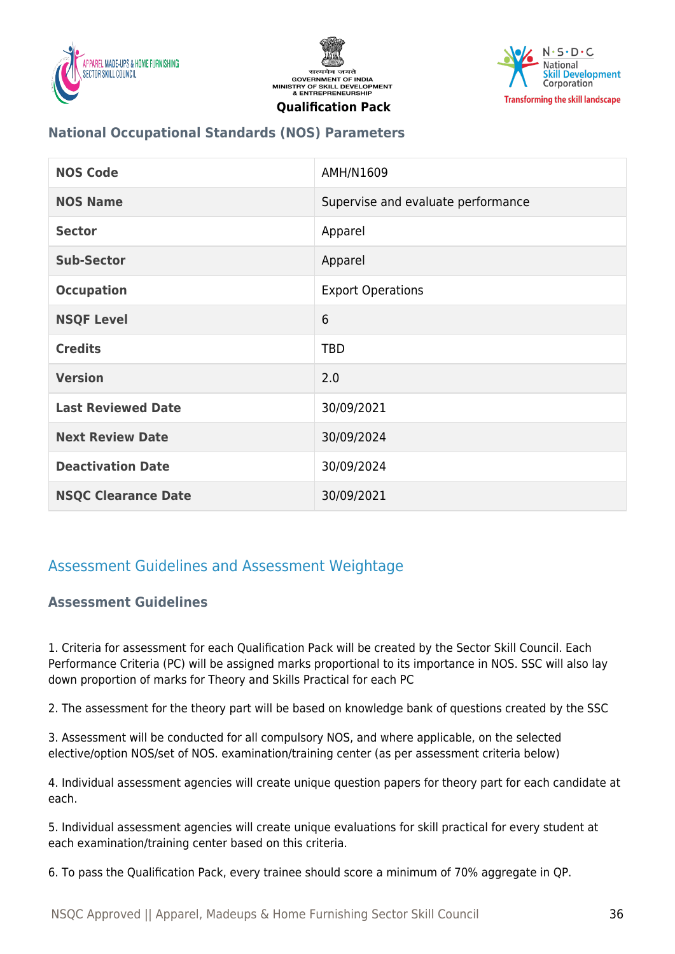





## **National Occupational Standards (NOS) Parameters**

| <b>NOS Code</b>            | AMH/N1609                          |
|----------------------------|------------------------------------|
| <b>NOS Name</b>            | Supervise and evaluate performance |
| <b>Sector</b>              | Apparel                            |
| <b>Sub-Sector</b>          | Apparel                            |
| <b>Occupation</b>          | <b>Export Operations</b>           |
| <b>NSQF Level</b>          | 6                                  |
| <b>Credits</b>             | <b>TBD</b>                         |
| <b>Version</b>             | 2.0                                |
| <b>Last Reviewed Date</b>  | 30/09/2021                         |
| <b>Next Review Date</b>    | 30/09/2024                         |
| <b>Deactivation Date</b>   | 30/09/2024                         |
| <b>NSQC Clearance Date</b> | 30/09/2021                         |

## <span id="page-35-1"></span><span id="page-35-0"></span>Assessment Guidelines and Assessment Weightage

## **Assessment Guidelines**

1. Criteria for assessment for each Qualification Pack will be created by the Sector Skill Council. Each Performance Criteria (PC) will be assigned marks proportional to its importance in NOS. SSC will also lay down proportion of marks for Theory and Skills Practical for each PC

2. The assessment for the theory part will be based on knowledge bank of questions created by the SSC

3. Assessment will be conducted for all compulsory NOS, and where applicable, on the selected elective/option NOS/set of NOS. examination/training center (as per assessment criteria below)

4. Individual assessment agencies will create unique question papers for theory part for each candidate at each.

5. Individual assessment agencies will create unique evaluations for skill practical for every student at each examination/training center based on this criteria.

6. To pass the Qualification Pack, every trainee should score a minimum of 70% aggregate in QP.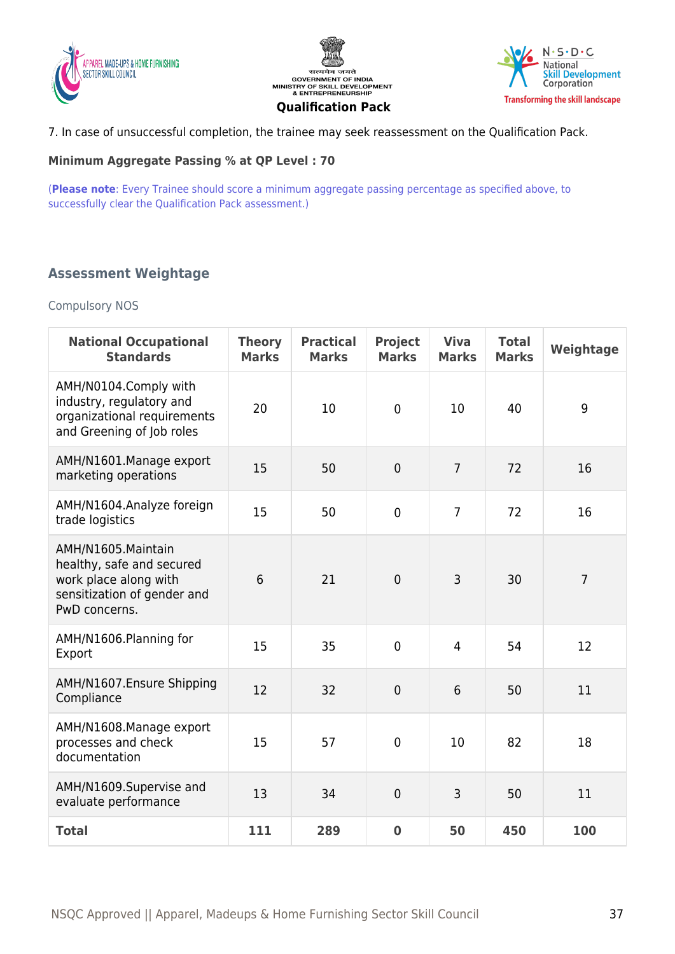





7. In case of unsuccessful completion, the trainee may seek reassessment on the Qualification Pack.

#### **Minimum Aggregate Passing % at QP Level : 70**

(**Please note**: Every Trainee should score a minimum aggregate passing percentage as specified above, to successfully clear the Qualification Pack assessment.)

## <span id="page-36-0"></span>**Assessment Weightage**

#### Compulsory NOS

| <b>National Occupational</b><br><b>Standards</b>                                                                         | <b>Theory</b><br><b>Marks</b> | <b>Practical</b><br><b>Marks</b> | <b>Project</b><br><b>Marks</b> | <b>Viva</b><br><b>Marks</b> | <b>Total</b><br><b>Marks</b> | Weightage      |
|--------------------------------------------------------------------------------------------------------------------------|-------------------------------|----------------------------------|--------------------------------|-----------------------------|------------------------------|----------------|
| AMH/N0104.Comply with<br>industry, regulatory and<br>organizational requirements<br>and Greening of Job roles            | 20                            | 10                               | $\mathbf 0$                    | 10                          | 40                           | 9              |
| AMH/N1601.Manage export<br>marketing operations                                                                          | 15                            | 50                               | $\mathbf 0$                    | $\overline{7}$              | 72                           | 16             |
| AMH/N1604.Analyze foreign<br>trade logistics                                                                             | 15                            | 50                               | $\overline{0}$                 | $\overline{7}$              | 72                           | 16             |
| AMH/N1605.Maintain<br>healthy, safe and secured<br>work place along with<br>sensitization of gender and<br>PwD concerns. | 6                             | 21                               | $\mathbf 0$                    | 3                           | 30                           | $\overline{7}$ |
| AMH/N1606.Planning for<br>Export                                                                                         | 15                            | 35                               | $\overline{0}$                 | 4                           | 54                           | 12             |
| AMH/N1607.Ensure Shipping<br>Compliance                                                                                  | 12                            | 32                               | $\mathbf 0$                    | 6                           | 50                           | 11             |
| AMH/N1608.Manage export<br>processes and check<br>documentation                                                          | 15                            | 57                               | $\mathbf 0$                    | 10                          | 82                           | 18             |
| AMH/N1609.Supervise and<br>evaluate performance                                                                          | 13                            | 34                               | $\mathbf 0$                    | 3                           | 50                           | 11             |
| <b>Total</b>                                                                                                             | 111                           | 289                              | $\mathbf 0$                    | 50                          | 450                          | 100            |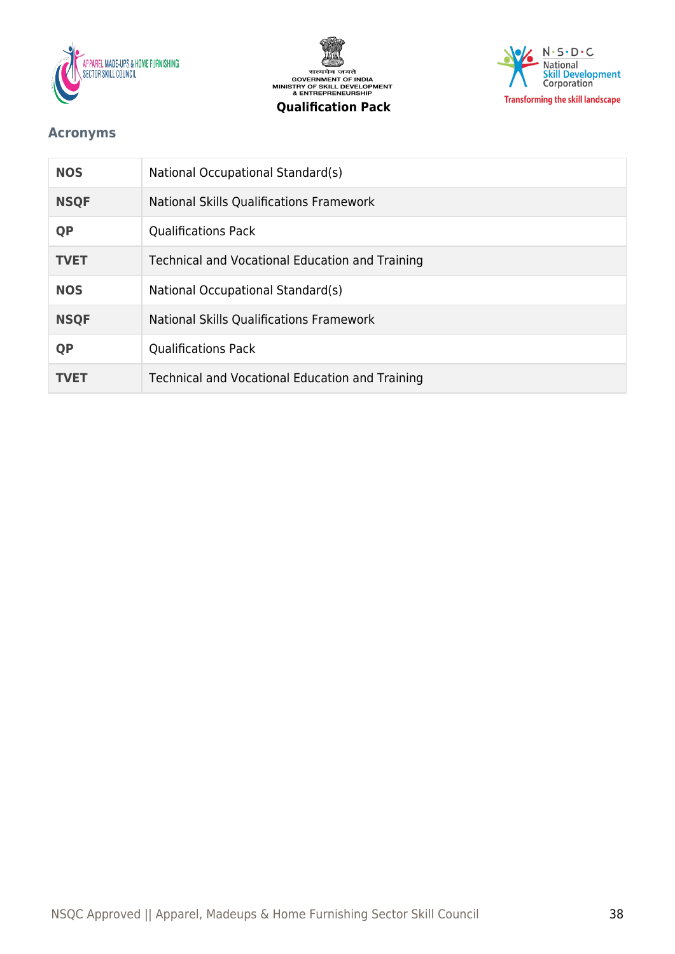





## <span id="page-37-0"></span>**Acronyms**

| <b>NOS</b>  | National Occupational Standard(s)               |
|-------------|-------------------------------------------------|
| <b>NSQF</b> | National Skills Qualifications Framework        |
| <b>QP</b>   | <b>Qualifications Pack</b>                      |
| <b>TVET</b> | Technical and Vocational Education and Training |
| <b>NOS</b>  | National Occupational Standard(s)               |
| <b>NSQF</b> | <b>National Skills Qualifications Framework</b> |
| <b>QP</b>   | <b>Qualifications Pack</b>                      |
| TVET        | Technical and Vocational Education and Training |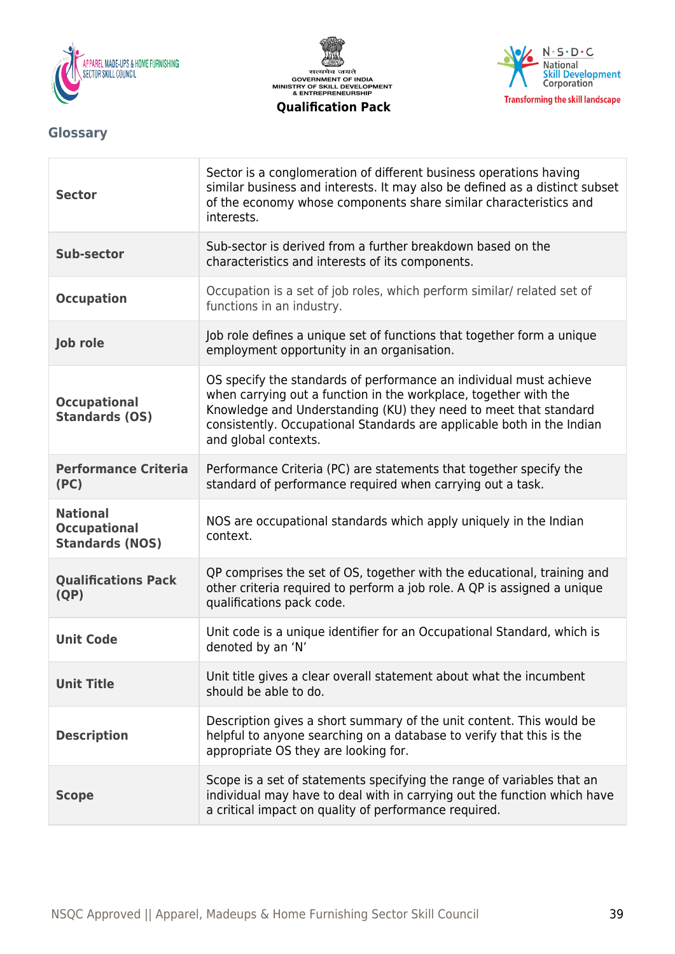





## <span id="page-38-0"></span>**Glossary**

| <b>Sector</b>                                                    | Sector is a conglomeration of different business operations having<br>similar business and interests. It may also be defined as a distinct subset<br>of the economy whose components share similar characteristics and<br>interests.                                                                         |
|------------------------------------------------------------------|--------------------------------------------------------------------------------------------------------------------------------------------------------------------------------------------------------------------------------------------------------------------------------------------------------------|
| <b>Sub-sector</b>                                                | Sub-sector is derived from a further breakdown based on the<br>characteristics and interests of its components.                                                                                                                                                                                              |
| <b>Occupation</b>                                                | Occupation is a set of job roles, which perform similar/ related set of<br>functions in an industry.                                                                                                                                                                                                         |
| Job role                                                         | Job role defines a unique set of functions that together form a unique<br>employment opportunity in an organisation.                                                                                                                                                                                         |
| <b>Occupational</b><br><b>Standards (OS)</b>                     | OS specify the standards of performance an individual must achieve<br>when carrying out a function in the workplace, together with the<br>Knowledge and Understanding (KU) they need to meet that standard<br>consistently. Occupational Standards are applicable both in the Indian<br>and global contexts. |
| <b>Performance Criteria</b><br>(PC)                              | Performance Criteria (PC) are statements that together specify the<br>standard of performance required when carrying out a task.                                                                                                                                                                             |
| <b>National</b><br><b>Occupational</b><br><b>Standards (NOS)</b> | NOS are occupational standards which apply uniquely in the Indian<br>context.                                                                                                                                                                                                                                |
| <b>Qualifications Pack</b><br>(QP)                               | QP comprises the set of OS, together with the educational, training and<br>other criteria required to perform a job role. A QP is assigned a unique<br>qualifications pack code.                                                                                                                             |
| <b>Unit Code</b>                                                 | Unit code is a unique identifier for an Occupational Standard, which is<br>denoted by an 'N'                                                                                                                                                                                                                 |
| <b>Unit Title</b>                                                | Unit title gives a clear overall statement about what the incumbent<br>should be able to do.                                                                                                                                                                                                                 |
| <b>Description</b>                                               | Description gives a short summary of the unit content. This would be<br>helpful to anyone searching on a database to verify that this is the<br>appropriate OS they are looking for.                                                                                                                         |
| <b>Scope</b>                                                     | Scope is a set of statements specifying the range of variables that an<br>individual may have to deal with in carrying out the function which have<br>a critical impact on quality of performance required.                                                                                                  |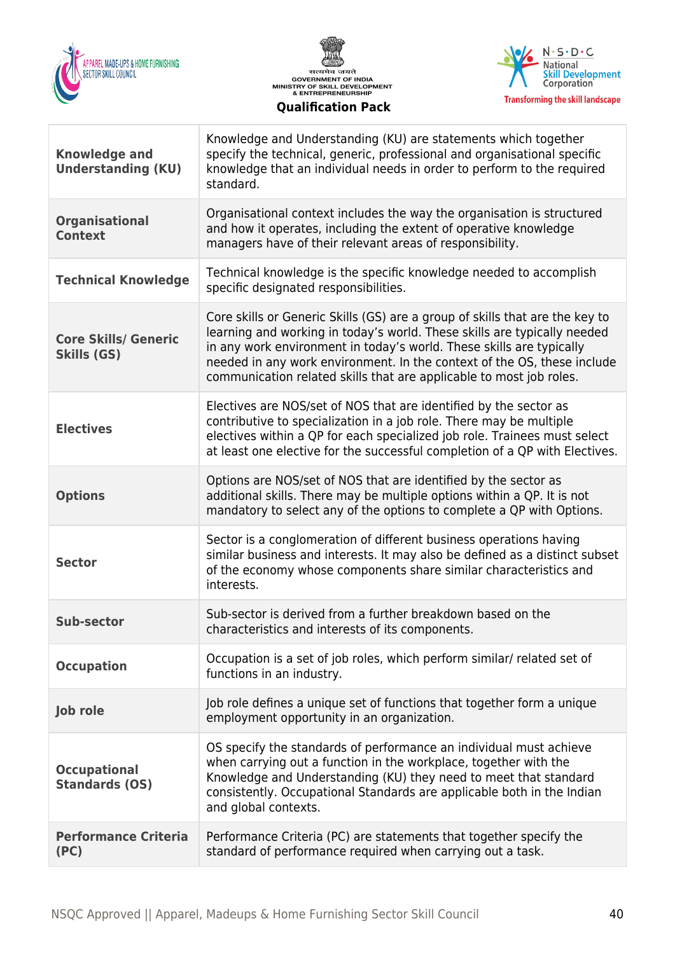





| <b>Knowledge and</b><br><b>Understanding (KU)</b> | Knowledge and Understanding (KU) are statements which together<br>specify the technical, generic, professional and organisational specific<br>knowledge that an individual needs in order to perform to the required<br>standard.                                                                                                                                                  |
|---------------------------------------------------|------------------------------------------------------------------------------------------------------------------------------------------------------------------------------------------------------------------------------------------------------------------------------------------------------------------------------------------------------------------------------------|
| <b>Organisational</b><br><b>Context</b>           | Organisational context includes the way the organisation is structured<br>and how it operates, including the extent of operative knowledge<br>managers have of their relevant areas of responsibility.                                                                                                                                                                             |
| <b>Technical Knowledge</b>                        | Technical knowledge is the specific knowledge needed to accomplish<br>specific designated responsibilities.                                                                                                                                                                                                                                                                        |
| <b>Core Skills/ Generic</b><br>Skills (GS)        | Core skills or Generic Skills (GS) are a group of skills that are the key to<br>learning and working in today's world. These skills are typically needed<br>in any work environment in today's world. These skills are typically<br>needed in any work environment. In the context of the OS, these include<br>communication related skills that are applicable to most job roles. |
| <b>Electives</b>                                  | Electives are NOS/set of NOS that are identified by the sector as<br>contributive to specialization in a job role. There may be multiple<br>electives within a QP for each specialized job role. Trainees must select<br>at least one elective for the successful completion of a QP with Electives.                                                                               |
| <b>Options</b>                                    | Options are NOS/set of NOS that are identified by the sector as<br>additional skills. There may be multiple options within a QP. It is not<br>mandatory to select any of the options to complete a QP with Options.                                                                                                                                                                |
| <b>Sector</b>                                     | Sector is a conglomeration of different business operations having<br>similar business and interests. It may also be defined as a distinct subset<br>of the economy whose components share similar characteristics and<br>interests.                                                                                                                                               |
| <b>Sub-sector</b>                                 | Sub-sector is derived from a further breakdown based on the<br>characteristics and interests of its components.                                                                                                                                                                                                                                                                    |
| <b>Occupation</b>                                 | Occupation is a set of job roles, which perform similar/ related set of<br>functions in an industry.                                                                                                                                                                                                                                                                               |
| Job role                                          | Job role defines a unique set of functions that together form a unique<br>employment opportunity in an organization.                                                                                                                                                                                                                                                               |
| <b>Occupational</b><br><b>Standards (OS)</b>      | OS specify the standards of performance an individual must achieve<br>when carrying out a function in the workplace, together with the<br>Knowledge and Understanding (KU) they need to meet that standard<br>consistently. Occupational Standards are applicable both in the Indian<br>and global contexts.                                                                       |
| <b>Performance Criteria</b><br>(PC)               | Performance Criteria (PC) are statements that together specify the<br>standard of performance required when carrying out a task.                                                                                                                                                                                                                                                   |